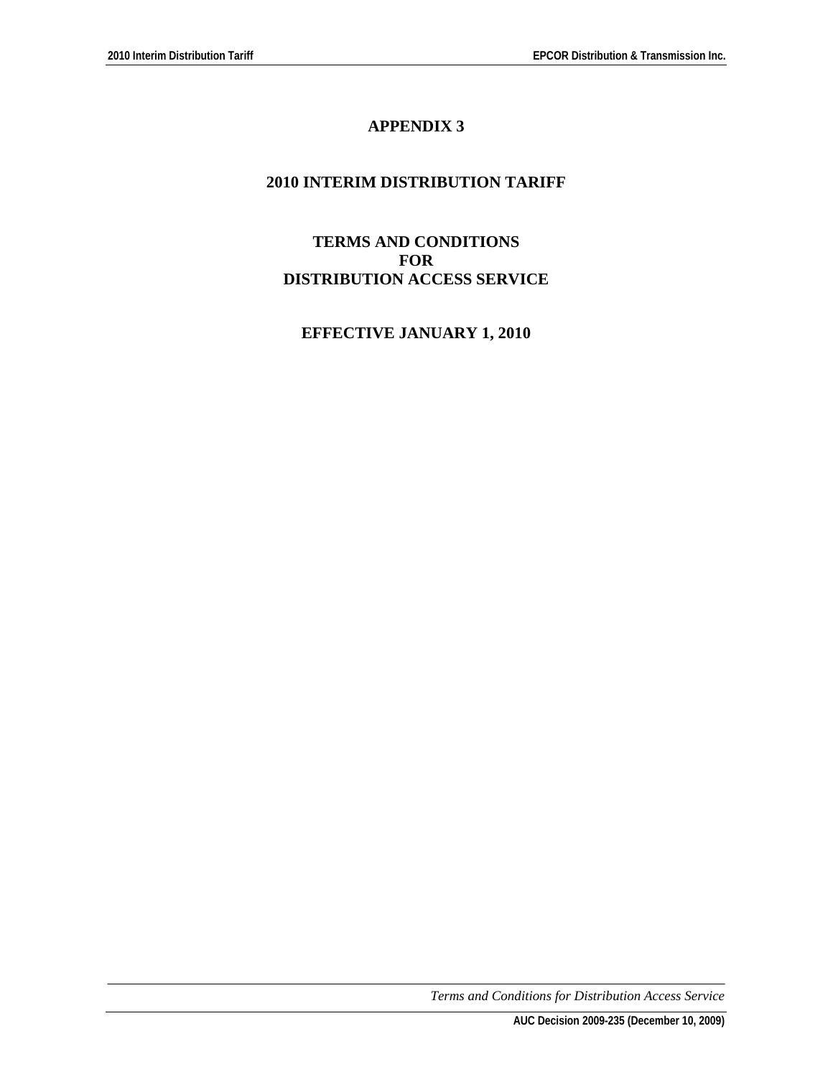# **APPENDIX 3**

# **2010 INTERIM DISTRIBUTION TARIFF**

### **TERMS AND CONDITIONS FOR DISTRIBUTION ACCESS SERVICE**

# **EFFECTIVE JANUARY 1, 2010**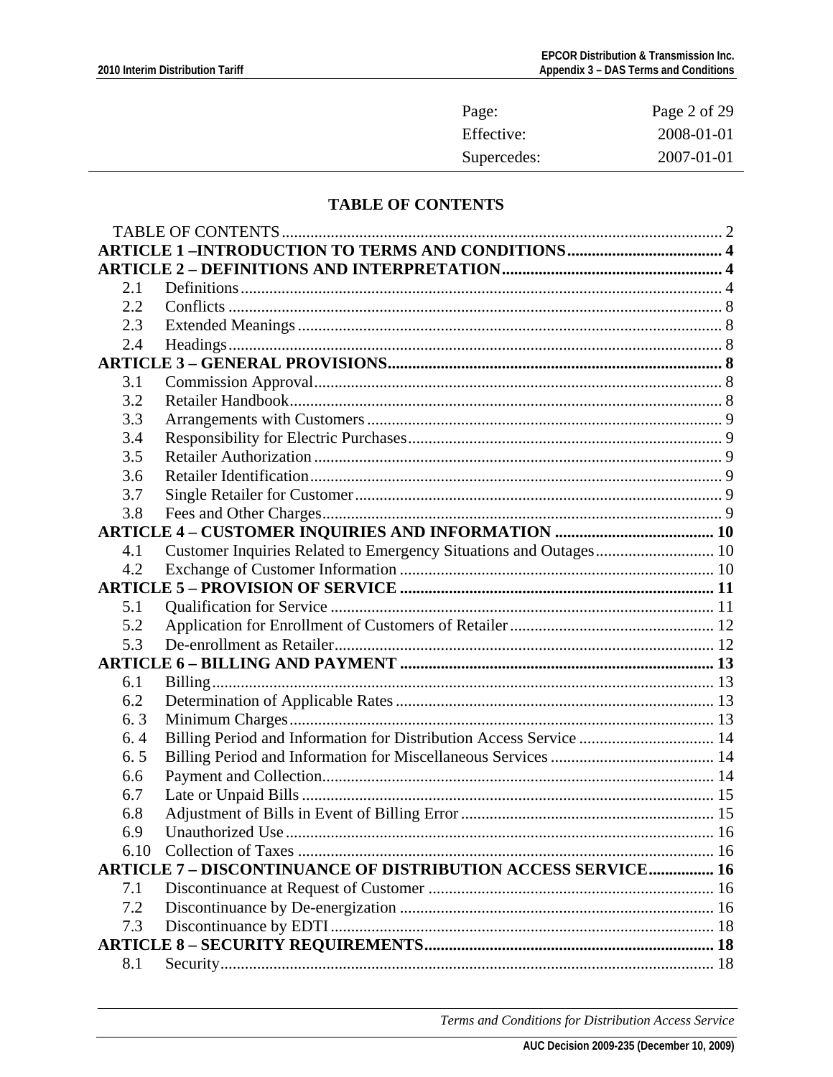| Page:       | Page 2 of 29 |
|-------------|--------------|
| Effective:  | 2008-01-01   |
| Supercedes: | 2007-01-01   |

# **TABLE OF CONTENTS**

<span id="page-1-0"></span>

| 2.1  |                                                                     |  |
|------|---------------------------------------------------------------------|--|
| 2.2  |                                                                     |  |
| 2.3  |                                                                     |  |
| 2.4  |                                                                     |  |
|      |                                                                     |  |
| 3.1  |                                                                     |  |
| 3.2  |                                                                     |  |
| 3.3  |                                                                     |  |
| 3.4  |                                                                     |  |
| 3.5  |                                                                     |  |
| 3.6  |                                                                     |  |
| 3.7  |                                                                     |  |
| 3.8  |                                                                     |  |
|      |                                                                     |  |
| 4.1  | Customer Inquiries Related to Emergency Situations and Outages 10   |  |
| 4.2  |                                                                     |  |
|      |                                                                     |  |
| 5.1  |                                                                     |  |
| 5.2  |                                                                     |  |
| 5.3  |                                                                     |  |
|      |                                                                     |  |
| 6.1  |                                                                     |  |
| 6.2  |                                                                     |  |
| 6.3  |                                                                     |  |
| 6.4  | Billing Period and Information for Distribution Access Service  14  |  |
| 6.5  |                                                                     |  |
| 6.6  |                                                                     |  |
| 6.7  |                                                                     |  |
| 6.8  |                                                                     |  |
| 69   |                                                                     |  |
| 6.10 |                                                                     |  |
|      | <b>ARTICLE 7 - DISCONTINUANCE OF DISTRIBUTION ACCESS SERVICE 16</b> |  |
| 7.1  |                                                                     |  |
| 7.2  |                                                                     |  |
| 7.3  |                                                                     |  |
|      |                                                                     |  |
| 8.1  |                                                                     |  |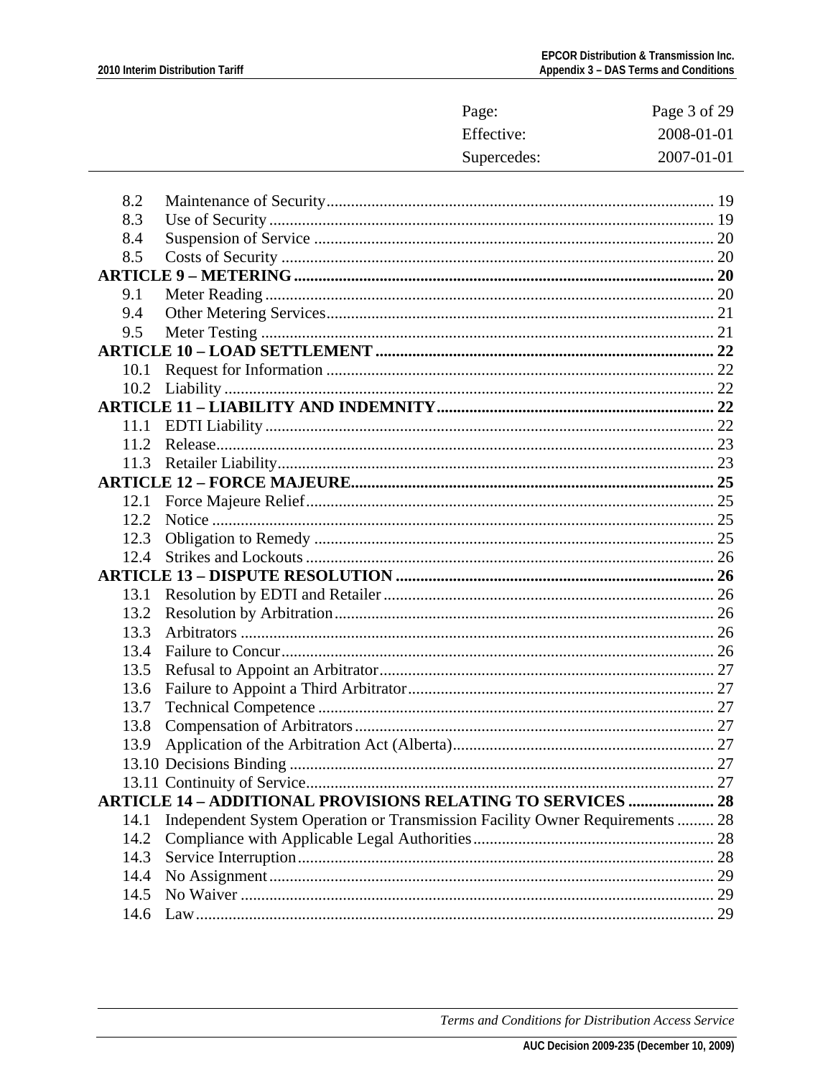|      |                                                                              | Page:       | Page 3 of 29 |
|------|------------------------------------------------------------------------------|-------------|--------------|
|      |                                                                              | Effective:  | 2008-01-01   |
|      |                                                                              | Supercedes: | 2007-01-01   |
|      |                                                                              |             |              |
| 8.2  |                                                                              |             |              |
| 8.3  |                                                                              |             |              |
| 8.4  |                                                                              |             |              |
| 8.5  |                                                                              |             |              |
|      |                                                                              |             |              |
| 9.1  |                                                                              |             |              |
| 9.4  |                                                                              |             |              |
| 9.5  |                                                                              |             |              |
|      |                                                                              |             |              |
| 10.1 |                                                                              |             |              |
| 10.2 |                                                                              |             |              |
|      |                                                                              |             |              |
|      |                                                                              |             |              |
| 11.2 |                                                                              |             |              |
| 11.3 |                                                                              |             |              |
|      |                                                                              |             |              |
| 12.1 |                                                                              |             |              |
| 12.2 |                                                                              |             |              |
| 12.3 |                                                                              |             |              |
| 12.4 |                                                                              |             |              |
|      |                                                                              |             |              |
| 13.1 |                                                                              |             |              |
| 13.2 |                                                                              |             |              |
| 13.3 |                                                                              |             |              |
| 13.4 |                                                                              |             |              |
| 13.5 |                                                                              |             |              |
| 13.6 |                                                                              |             |              |
| 13.7 |                                                                              |             | 27           |
| 13.8 |                                                                              |             |              |
| 13.9 |                                                                              |             |              |
|      |                                                                              |             |              |
|      |                                                                              |             |              |
|      | <b>ARTICLE 14 - ADDITIONAL PROVISIONS RELATING TO SERVICES  28</b>           |             |              |
| 14.1 | Independent System Operation or Transmission Facility Owner Requirements  28 |             |              |
| 14.2 |                                                                              |             |              |
| 14.3 |                                                                              |             |              |
| 14.4 |                                                                              |             |              |
| 14.5 |                                                                              |             |              |
| 14.6 |                                                                              |             |              |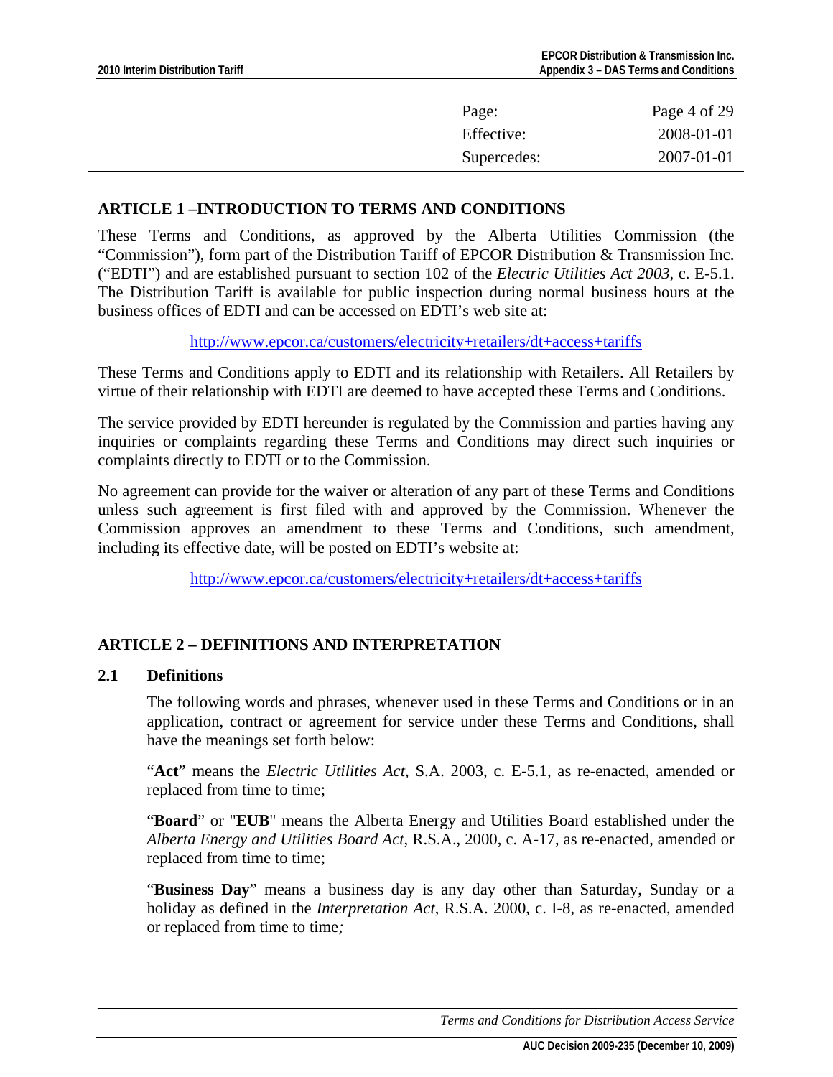<span id="page-3-0"></span>

| Page:       | Page 4 of 29 |
|-------------|--------------|
| Effective:  | 2008-01-01   |
| Supercedes: | 2007-01-01   |

## **ARTICLE 1 –INTRODUCTION TO TERMS AND CONDITIONS**

These Terms and Conditions, as approved by the Alberta Utilities Commission (the "Commission"), form part of the Distribution Tariff of EPCOR Distribution & Transmission Inc. ("EDTI") and are established pursuant to section 102 of the *Electric Utilities Act 2003*, c. E-5.1. The Distribution Tariff is available for public inspection during normal business hours at the business offices of EDTI and can be accessed on EDTI's web site at:

<http://www.epcor.ca/customers/electricity+retailers/dt+access+tariffs>

These Terms and Conditions apply to EDTI and its relationship with Retailers. All Retailers by virtue of their relationship with EDTI are deemed to have accepted these Terms and Conditions.

The service provided by EDTI hereunder is regulated by the Commission and parties having any inquiries or complaints regarding these Terms and Conditions may direct such inquiries or complaints directly to EDTI or to the Commission.

No agreement can provide for the waiver or alteration of any part of these Terms and Conditions unless such agreement is first filed with and approved by the Commission. Whenever the Commission approves an amendment to these Terms and Conditions, such amendment, including its effective date, will be posted on EDTI's website at:

<http://www.epcor.ca/customers/electricity+retailers/dt+access+tariffs>

# **ARTICLE 2 – DEFINITIONS AND INTERPRETATION**

### **2.1 Definitions**

The following words and phrases, whenever used in these Terms and Conditions or in an application, contract or agreement for service under these Terms and Conditions, shall have the meanings set forth below:

"**Act**" means the *Electric Utilities Act*, S.A. 2003, c. E-5.1, as re-enacted, amended or replaced from time to time;

"**Board**" or "**EUB**" means the Alberta Energy and Utilities Board established under the *Alberta Energy and Utilities Board Act*, R.S.A., 2000, c. A-17, as re-enacted, amended or replaced from time to time;

"**Business Day**" means a business day is any day other than Saturday, Sunday or a holiday as defined in the *Interpretation Act*, R.S.A. 2000, c. I-8, as re-enacted, amended or replaced from time to time*;*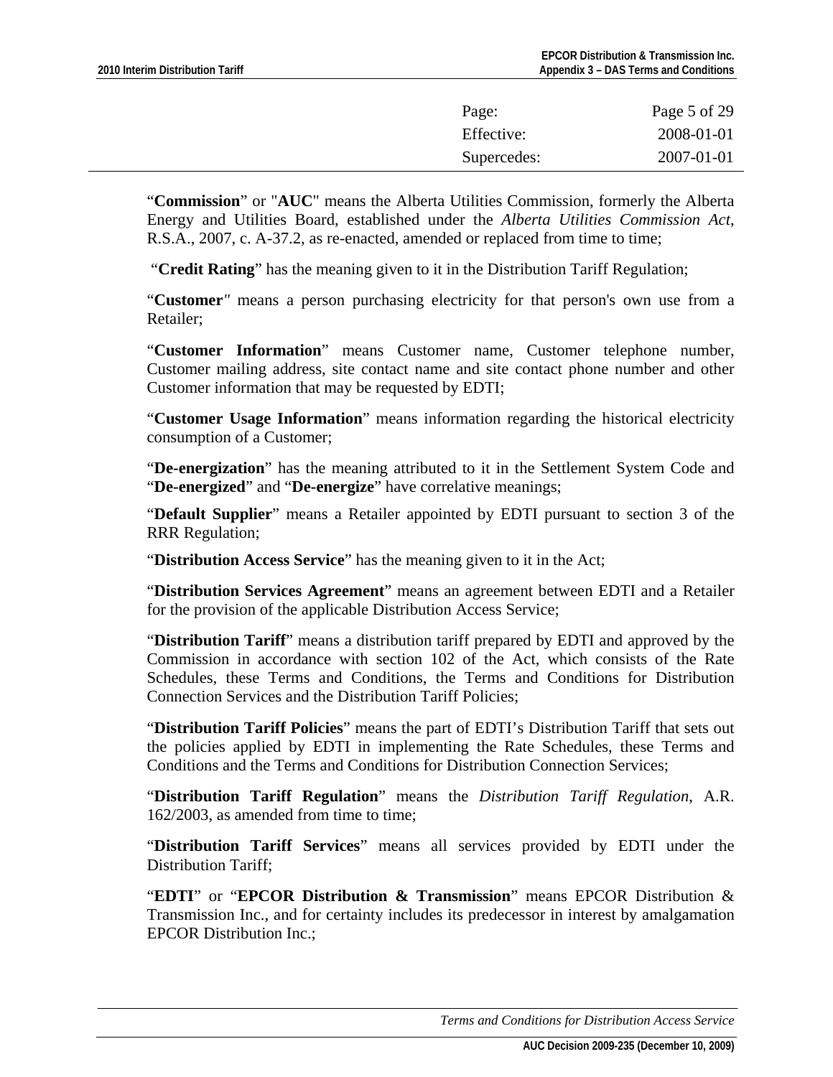| Page:       | Page 5 of 29 |
|-------------|--------------|
| Effective:  | 2008-01-01   |
| Supercedes: | 2007-01-01   |

"**Commission**" or "**AUC**" means the Alberta Utilities Commission, formerly the Alberta Energy and Utilities Board, established under the *Alberta Utilities Commission Act*, R.S.A., 2007, c. A-37.2, as re-enacted, amended or replaced from time to time;

"**Credit Rating**" has the meaning given to it in the Distribution Tariff Regulation;

"**Customer***"* means a person purchasing electricity for that person's own use from a Retailer;

"**Customer Information**" means Customer name, Customer telephone number, Customer mailing address, site contact name and site contact phone number and other Customer information that may be requested by EDTI;

"**Customer Usage Information**" means information regarding the historical electricity consumption of a Customer;

"**De-energization**" has the meaning attributed to it in the Settlement System Code and "**De-energized**" and "**De-energize**" have correlative meanings;

"**Default Supplier**" means a Retailer appointed by EDTI pursuant to section 3 of the RRR Regulation;

"**Distribution Access Service**" has the meaning given to it in the Act;

"**Distribution Services Agreement**" means an agreement between EDTI and a Retailer for the provision of the applicable Distribution Access Service;

"**Distribution Tariff**" means a distribution tariff prepared by EDTI and approved by the Commission in accordance with section 102 of the Act, which consists of the Rate Schedules, these Terms and Conditions, the Terms and Conditions for Distribution Connection Services and the Distribution Tariff Policies;

"**Distribution Tariff Policies**" means the part of EDTI's Distribution Tariff that sets out the policies applied by EDTI in implementing the Rate Schedules, these Terms and Conditions and the Terms and Conditions for Distribution Connection Services;

"**Distribution Tariff Regulation**" means the *Distribution Tariff Regulation*, A.R. 162/2003, as amended from time to time;

"**Distribution Tariff Services**" means all services provided by EDTI under the Distribution Tariff;

"**EDTI**" or "**EPCOR Distribution & Transmission**" means EPCOR Distribution & Transmission Inc., and for certainty includes its predecessor in interest by amalgamation EPCOR Distribution Inc.;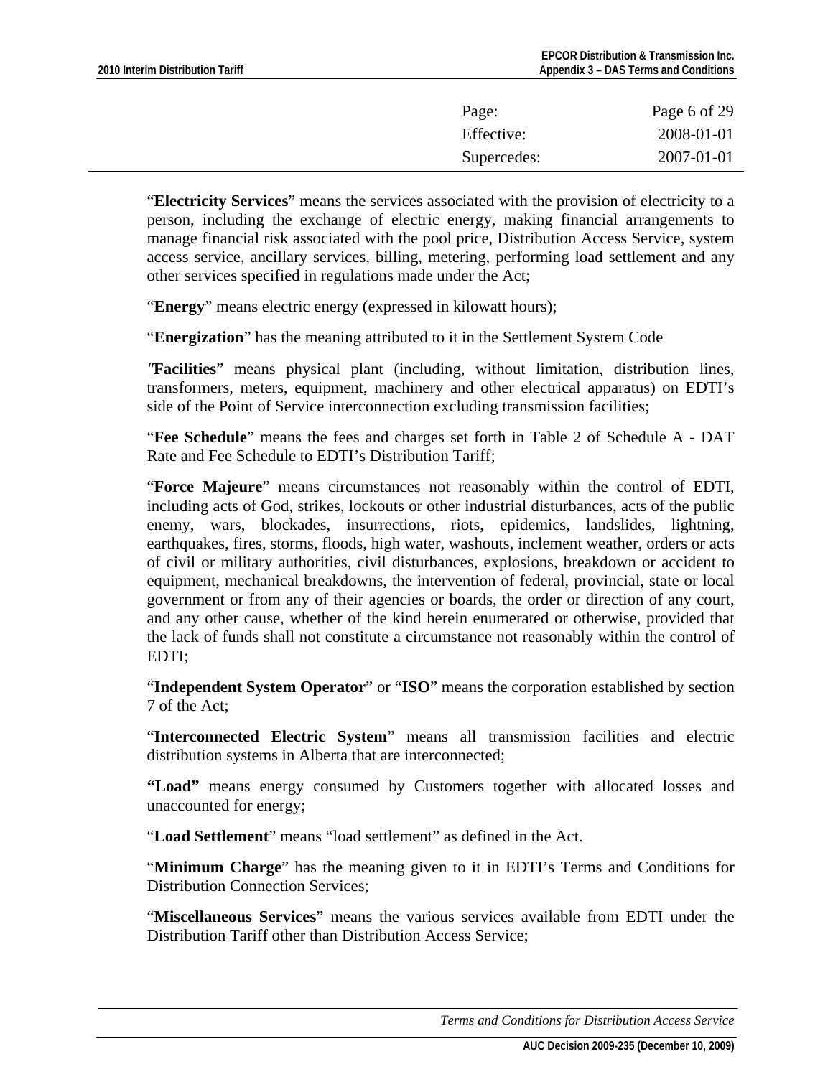| Page:       | Page 6 of 29 |
|-------------|--------------|
| Effective:  | 2008-01-01   |
| Supercedes: | 2007-01-01   |

"**Electricity Services**" means the services associated with the provision of electricity to a person, including the exchange of electric energy, making financial arrangements to manage financial risk associated with the pool price, Distribution Access Service, system access service, ancillary services, billing, metering, performing load settlement and any other services specified in regulations made under the Act;

"**Energy**" means electric energy (expressed in kilowatt hours);

"**Energization**" has the meaning attributed to it in the Settlement System Code

*"***Facilities**" means physical plant (including, without limitation, distribution lines, transformers, meters, equipment, machinery and other electrical apparatus) on EDTI's side of the Point of Service interconnection excluding transmission facilities;

"**Fee Schedule**" means the fees and charges set forth in Table 2 of Schedule A - DAT Rate and Fee Schedule to EDTI's Distribution Tariff;

"**Force Majeure**" means circumstances not reasonably within the control of EDTI, including acts of God, strikes, lockouts or other industrial disturbances, acts of the public enemy, wars, blockades, insurrections, riots, epidemics, landslides, lightning, earthquakes, fires, storms, floods, high water, washouts, inclement weather, orders or acts of civil or military authorities, civil disturbances, explosions, breakdown or accident to equipment, mechanical breakdowns, the intervention of federal, provincial, state or local government or from any of their agencies or boards, the order or direction of any court, and any other cause, whether of the kind herein enumerated or otherwise, provided that the lack of funds shall not constitute a circumstance not reasonably within the control of EDTI;

"**Independent System Operator**" or "**ISO**" means the corporation established by section 7 of the Act;

"**Interconnected Electric System**" means all transmission facilities and electric distribution systems in Alberta that are interconnected;

**"Load"** means energy consumed by Customers together with allocated losses and unaccounted for energy;

"**Load Settlement**" means "load settlement" as defined in the Act.

"**Minimum Charge**" has the meaning given to it in EDTI's Terms and Conditions for Distribution Connection Services;

"**Miscellaneous Services**" means the various services available from EDTI under the Distribution Tariff other than Distribution Access Service;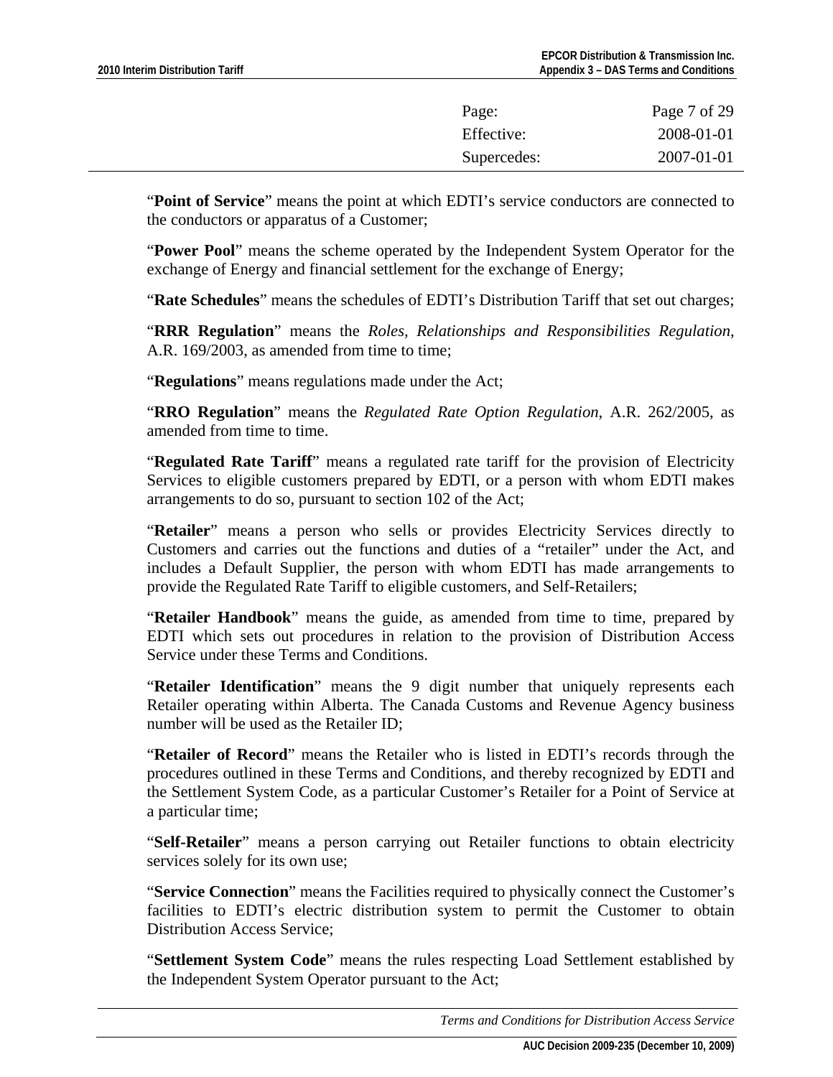| Page:<br>Effective: | Page 7 of 29<br>2008-01-01 |
|---------------------|----------------------------|
| Supercedes:         | 2007-01-01                 |

"**Point of Service**" means the point at which EDTI's service conductors are connected to the conductors or apparatus of a Customer;

"**Power Pool**" means the scheme operated by the Independent System Operator for the exchange of Energy and financial settlement for the exchange of Energy;

"**Rate Schedules**" means the schedules of EDTI's Distribution Tariff that set out charges;

"**RRR Regulation**" means the *Roles, Relationships and Responsibilities Regulation*, A.R. 169/2003, as amended from time to time;

"**Regulations**" means regulations made under the Act;

"**RRO Regulation**" means the *Regulated Rate Option Regulation*, A.R. 262/2005, as amended from time to time.

"**Regulated Rate Tariff**" means a regulated rate tariff for the provision of Electricity Services to eligible customers prepared by EDTI, or a person with whom EDTI makes arrangements to do so, pursuant to section 102 of the Act;

"**Retailer**" means a person who sells or provides Electricity Services directly to Customers and carries out the functions and duties of a "retailer" under the Act, and includes a Default Supplier, the person with whom EDTI has made arrangements to provide the Regulated Rate Tariff to eligible customers, and Self-Retailers;

"**Retailer Handbook**" means the guide, as amended from time to time, prepared by EDTI which sets out procedures in relation to the provision of Distribution Access Service under these Terms and Conditions.

"**Retailer Identification**" means the 9 digit number that uniquely represents each Retailer operating within Alberta. The Canada Customs and Revenue Agency business number will be used as the Retailer ID;

"**Retailer of Record**" means the Retailer who is listed in EDTI's records through the procedures outlined in these Terms and Conditions, and thereby recognized by EDTI and the Settlement System Code, as a particular Customer's Retailer for a Point of Service at a particular time;

"**Self-Retailer**" means a person carrying out Retailer functions to obtain electricity services solely for its own use;

"**Service Connection**" means the Facilities required to physically connect the Customer's facilities to EDTI's electric distribution system to permit the Customer to obtain Distribution Access Service;

"**Settlement System Code**" means the rules respecting Load Settlement established by the Independent System Operator pursuant to the Act;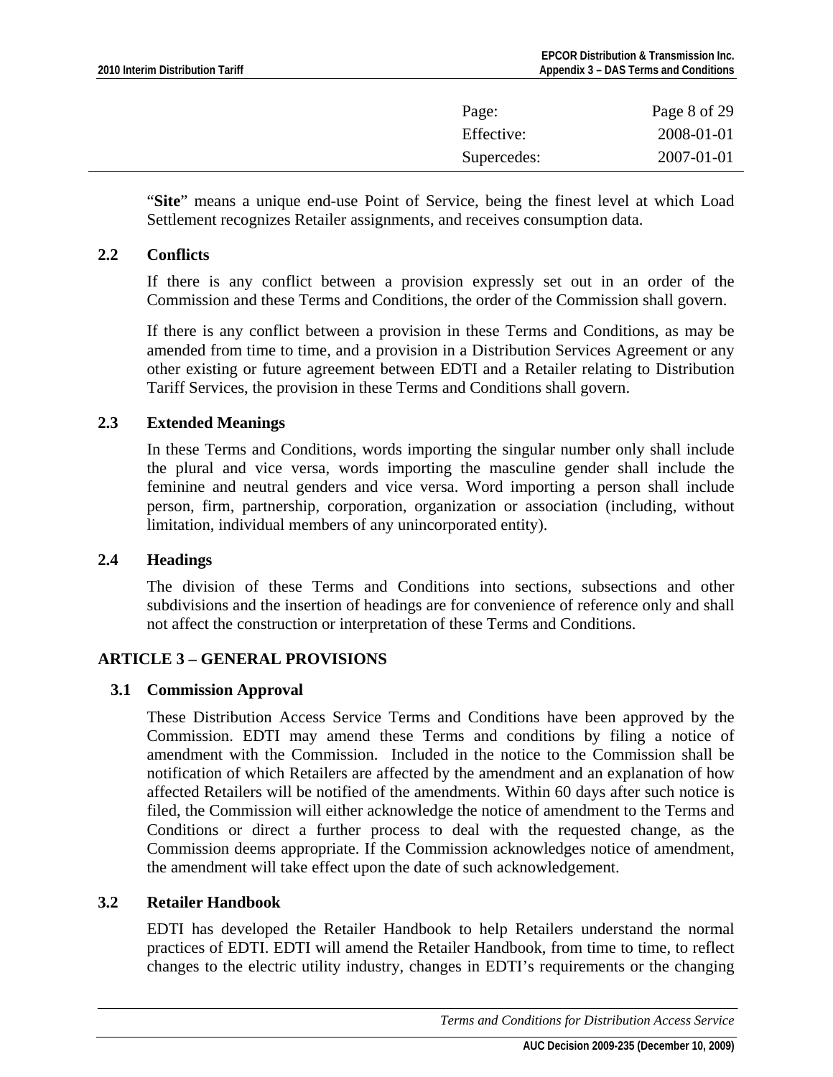<span id="page-7-0"></span>

| Page:       | Page 8 of 29 |
|-------------|--------------|
| Effective:  | 2008-01-01   |
| Supercedes: | 2007-01-01   |
|             |              |

"**Site**" means a unique end-use Point of Service, being the finest level at which Load Settlement recognizes Retailer assignments, and receives consumption data.

### **2.2 Conflicts**

If there is any conflict between a provision expressly set out in an order of the Commission and these Terms and Conditions, the order of the Commission shall govern.

If there is any conflict between a provision in these Terms and Conditions, as may be amended from time to time, and a provision in a Distribution Services Agreement or any other existing or future agreement between EDTI and a Retailer relating to Distribution Tariff Services, the provision in these Terms and Conditions shall govern.

### **2.3 Extended Meanings**

In these Terms and Conditions, words importing the singular number only shall include the plural and vice versa, words importing the masculine gender shall include the feminine and neutral genders and vice versa. Word importing a person shall include person, firm, partnership, corporation, organization or association (including, without limitation, individual members of any unincorporated entity).

### **2.4 Headings**

The division of these Terms and Conditions into sections, subsections and other subdivisions and the insertion of headings are for convenience of reference only and shall not affect the construction or interpretation of these Terms and Conditions.

## **ARTICLE 3 – GENERAL PROVISIONS**

### **3.1 Commission Approval**

These Distribution Access Service Terms and Conditions have been approved by the Commission. EDTI may amend these Terms and conditions by filing a notice of amendment with the Commission. Included in the notice to the Commission shall be notification of which Retailers are affected by the amendment and an explanation of how affected Retailers will be notified of the amendments. Within 60 days after such notice is filed, the Commission will either acknowledge the notice of amendment to the Terms and Conditions or direct a further process to deal with the requested change, as the Commission deems appropriate. If the Commission acknowledges notice of amendment, the amendment will take effect upon the date of such acknowledgement.

### **3.2 Retailer Handbook**

EDTI has developed the Retailer Handbook to help Retailers understand the normal practices of EDTI. EDTI will amend the Retailer Handbook, from time to time, to reflect changes to the electric utility industry, changes in EDTI's requirements or the changing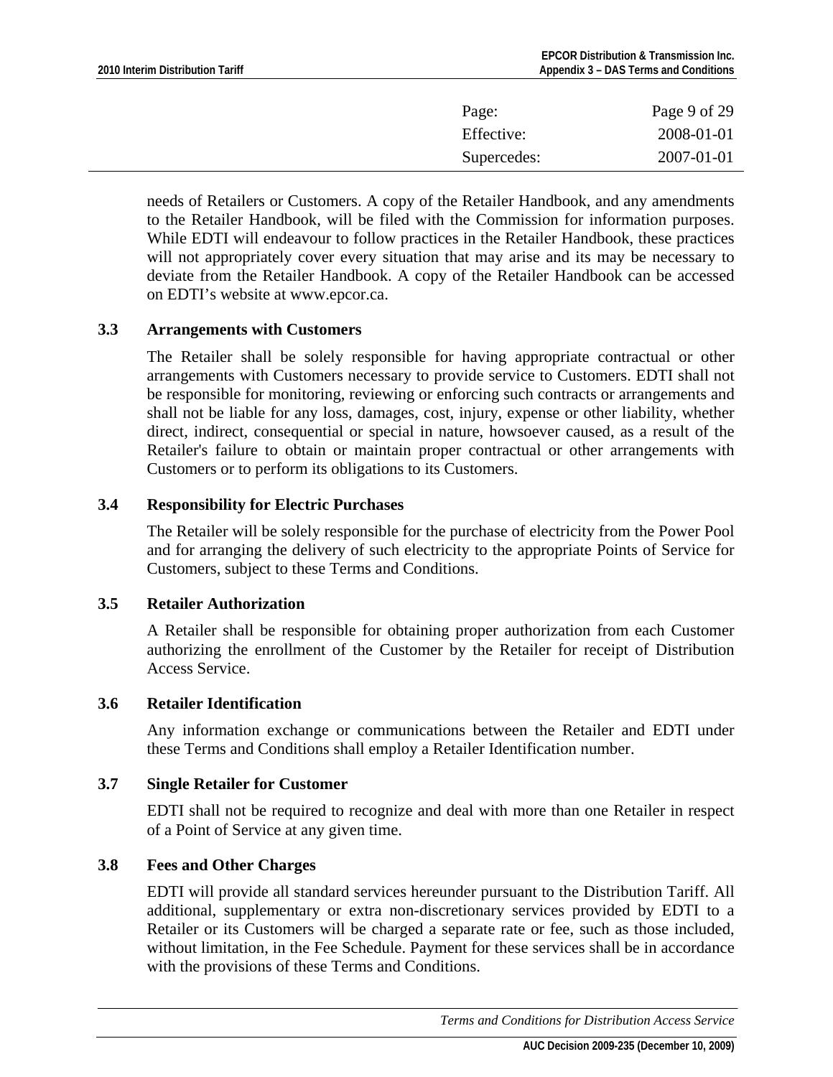<span id="page-8-0"></span>

| Page:       | Page 9 of 29 |
|-------------|--------------|
| Effective:  | 2008-01-01   |
| Supercedes: | 2007-01-01   |

needs of Retailers or Customers. A copy of the Retailer Handbook, and any amendments to the Retailer Handbook, will be filed with the Commission for information purposes. While EDTI will endeavour to follow practices in the Retailer Handbook, these practices will not appropriately cover every situation that may arise and its may be necessary to deviate from the Retailer Handbook. A copy of the Retailer Handbook can be accessed on EDTI's website at www.epcor.ca.

### **3.3 Arrangements with Customers**

The Retailer shall be solely responsible for having appropriate contractual or other arrangements with Customers necessary to provide service to Customers. EDTI shall not be responsible for monitoring, reviewing or enforcing such contracts or arrangements and shall not be liable for any loss, damages, cost, injury, expense or other liability, whether direct, indirect, consequential or special in nature, howsoever caused, as a result of the Retailer's failure to obtain or maintain proper contractual or other arrangements with Customers or to perform its obligations to its Customers.

### **3.4 Responsibility for Electric Purchases**

The Retailer will be solely responsible for the purchase of electricity from the Power Pool and for arranging the delivery of such electricity to the appropriate Points of Service for Customers, subject to these Terms and Conditions.

### **3.5 Retailer Authorization**

A Retailer shall be responsible for obtaining proper authorization from each Customer authorizing the enrollment of the Customer by the Retailer for receipt of Distribution Access Service.

### **3.6 Retailer Identification**

Any information exchange or communications between the Retailer and EDTI under these Terms and Conditions shall employ a Retailer Identification number.

### **3.7 Single Retailer for Customer**

EDTI shall not be required to recognize and deal with more than one Retailer in respect of a Point of Service at any given time.

### **3.8 Fees and Other Charges**

EDTI will provide all standard services hereunder pursuant to the Distribution Tariff. All additional, supplementary or extra non-discretionary services provided by EDTI to a Retailer or its Customers will be charged a separate rate or fee, such as those included, without limitation, in the Fee Schedule. Payment for these services shall be in accordance with the provisions of these Terms and Conditions.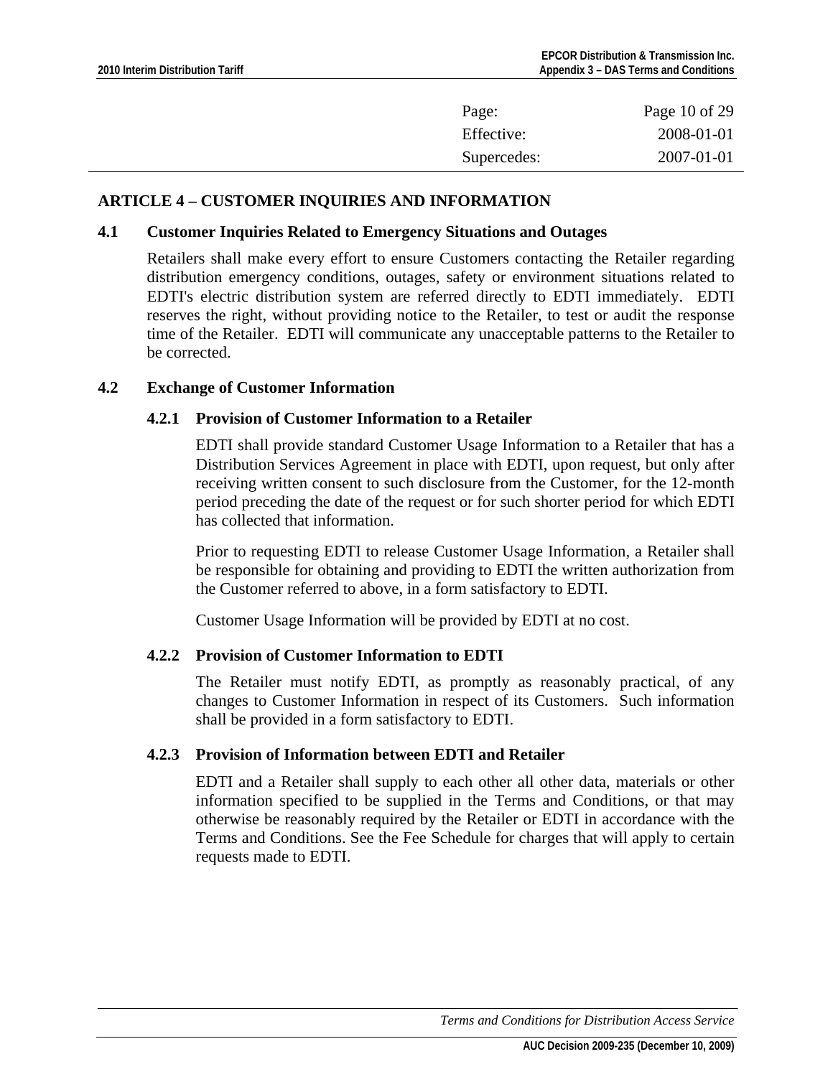<span id="page-9-0"></span>

| Page:       | Page 10 of 29 |
|-------------|---------------|
| Effective:  | 2008-01-01    |
| Supercedes: | 2007-01-01    |

### **ARTICLE 4 – CUSTOMER INQUIRIES AND INFORMATION**

#### **4.1 Customer Inquiries Related to Emergency Situations and Outages**

Retailers shall make every effort to ensure Customers contacting the Retailer regarding distribution emergency conditions, outages, safety or environment situations related to EDTI's electric distribution system are referred directly to EDTI immediately. EDTI reserves the right, without providing notice to the Retailer, to test or audit the response time of the Retailer. EDTI will communicate any unacceptable patterns to the Retailer to be corrected.

#### **4.2 Exchange of Customer Information**

#### **4.2.1 Provision of Customer Information to a Retailer**

EDTI shall provide standard Customer Usage Information to a Retailer that has a Distribution Services Agreement in place with EDTI, upon request, but only after receiving written consent to such disclosure from the Customer, for the 12-month period preceding the date of the request or for such shorter period for which EDTI has collected that information.

Prior to requesting EDTI to release Customer Usage Information, a Retailer shall be responsible for obtaining and providing to EDTI the written authorization from the Customer referred to above, in a form satisfactory to EDTI.

Customer Usage Information will be provided by EDTI at no cost.

### **4.2.2 Provision of Customer Information to EDTI**

The Retailer must notify EDTI, as promptly as reasonably practical, of any changes to Customer Information in respect of its Customers. Such information shall be provided in a form satisfactory to EDTI.

### **4.2.3 Provision of Information between EDTI and Retailer**

EDTI and a Retailer shall supply to each other all other data, materials or other information specified to be supplied in the Terms and Conditions, or that may otherwise be reasonably required by the Retailer or EDTI in accordance with the Terms and Conditions. See the Fee Schedule for charges that will apply to certain requests made to EDTI.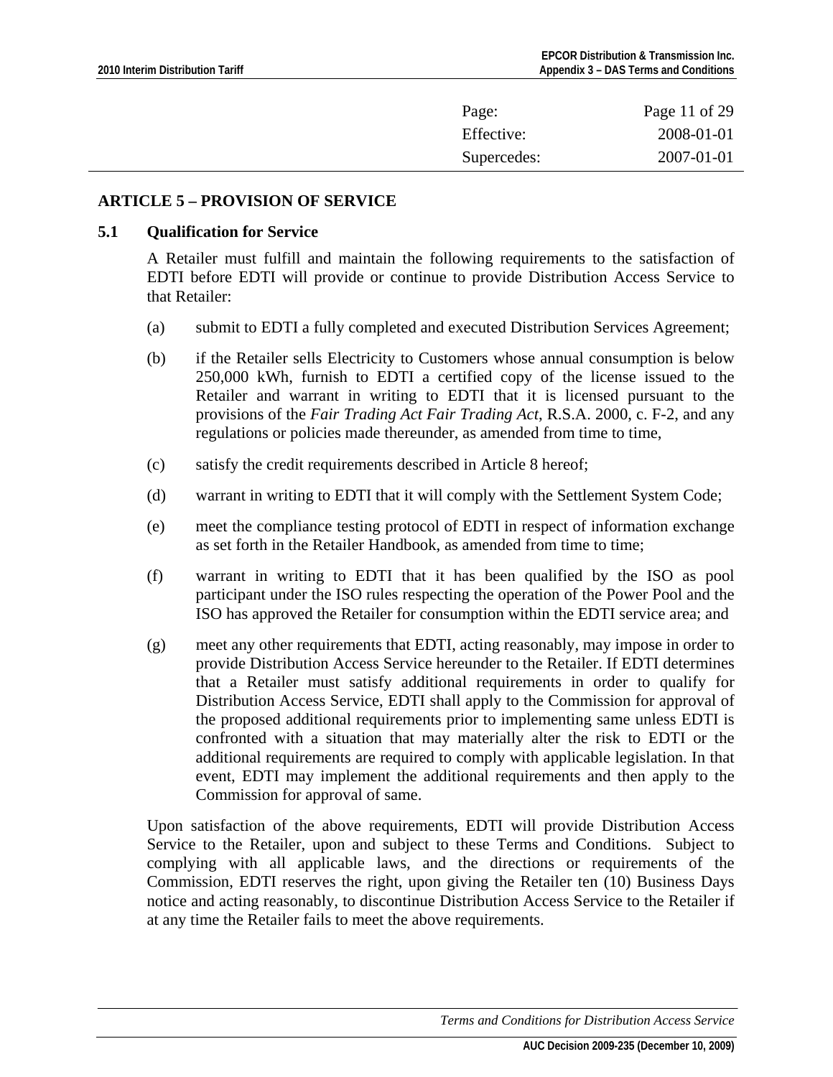<span id="page-10-0"></span>

| Page:       | Page 11 of 29 |
|-------------|---------------|
| Effective:  | 2008-01-01    |
| Supercedes: | 2007-01-01    |

### **ARTICLE 5 – PROVISION OF SERVICE**

#### **5.1 Qualification for Service**

A Retailer must fulfill and maintain the following requirements to the satisfaction of EDTI before EDTI will provide or continue to provide Distribution Access Service to that Retailer:

- (a) submit to EDTI a fully completed and executed Distribution Services Agreement;
- (b) if the Retailer sells Electricity to Customers whose annual consumption is below 250,000 kWh, furnish to EDTI a certified copy of the license issued to the Retailer and warrant in writing to EDTI that it is licensed pursuant to the provisions of the *Fair Trading Act Fair Trading Act*, R.S.A. 2000, c. F-2, and any regulations or policies made thereunder, as amended from time to time,
- (c) satisfy the credit requirements described in Article 8 hereof;
- (d) warrant in writing to EDTI that it will comply with the Settlement System Code;
- (e) meet the compliance testing protocol of EDTI in respect of information exchange as set forth in the Retailer Handbook, as amended from time to time;
- (f) warrant in writing to EDTI that it has been qualified by the ISO as pool participant under the ISO rules respecting the operation of the Power Pool and the ISO has approved the Retailer for consumption within the EDTI service area; and
- (g) meet any other requirements that EDTI, acting reasonably, may impose in order to provide Distribution Access Service hereunder to the Retailer. If EDTI determines that a Retailer must satisfy additional requirements in order to qualify for Distribution Access Service, EDTI shall apply to the Commission for approval of the proposed additional requirements prior to implementing same unless EDTI is confronted with a situation that may materially alter the risk to EDTI or the additional requirements are required to comply with applicable legislation. In that event, EDTI may implement the additional requirements and then apply to the Commission for approval of same.

Upon satisfaction of the above requirements, EDTI will provide Distribution Access Service to the Retailer, upon and subject to these Terms and Conditions. Subject to complying with all applicable laws, and the directions or requirements of the Commission, EDTI reserves the right, upon giving the Retailer ten (10) Business Days notice and acting reasonably, to discontinue Distribution Access Service to the Retailer if at any time the Retailer fails to meet the above requirements.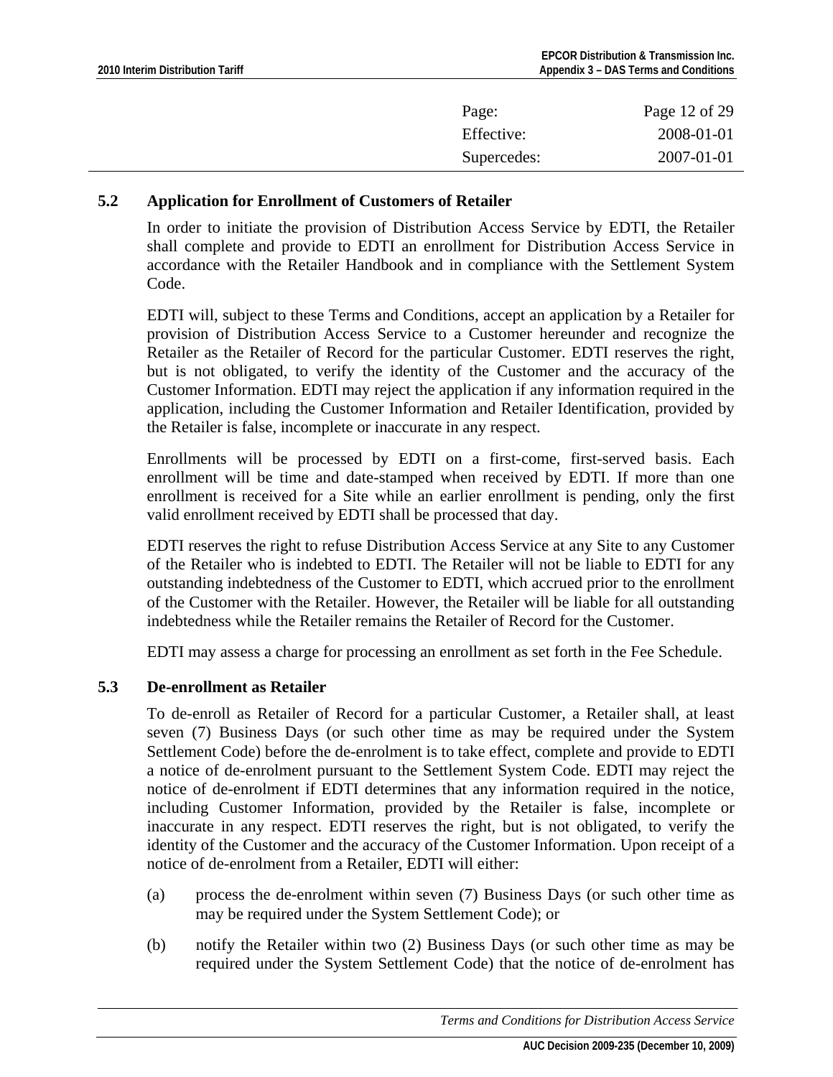<span id="page-11-0"></span>

| Page:       | Page 12 of 29 |
|-------------|---------------|
| Effective:  | 2008-01-01    |
| Supercedes: | 2007-01-01    |

### **5.2 Application for Enrollment of Customers of Retailer**

In order to initiate the provision of Distribution Access Service by EDTI, the Retailer shall complete and provide to EDTI an enrollment for Distribution Access Service in accordance with the Retailer Handbook and in compliance with the Settlement System Code.

EDTI will, subject to these Terms and Conditions, accept an application by a Retailer for provision of Distribution Access Service to a Customer hereunder and recognize the Retailer as the Retailer of Record for the particular Customer. EDTI reserves the right, but is not obligated, to verify the identity of the Customer and the accuracy of the Customer Information. EDTI may reject the application if any information required in the application, including the Customer Information and Retailer Identification, provided by the Retailer is false, incomplete or inaccurate in any respect.

Enrollments will be processed by EDTI on a first-come, first-served basis. Each enrollment will be time and date-stamped when received by EDTI. If more than one enrollment is received for a Site while an earlier enrollment is pending, only the first valid enrollment received by EDTI shall be processed that day.

EDTI reserves the right to refuse Distribution Access Service at any Site to any Customer of the Retailer who is indebted to EDTI. The Retailer will not be liable to EDTI for any outstanding indebtedness of the Customer to EDTI, which accrued prior to the enrollment of the Customer with the Retailer. However, the Retailer will be liable for all outstanding indebtedness while the Retailer remains the Retailer of Record for the Customer.

EDTI may assess a charge for processing an enrollment as set forth in the Fee Schedule.

### **5.3 De-enrollment as Retailer**

To de-enroll as Retailer of Record for a particular Customer, a Retailer shall, at least seven (7) Business Days (or such other time as may be required under the System Settlement Code) before the de-enrolment is to take effect, complete and provide to EDTI a notice of de-enrolment pursuant to the Settlement System Code. EDTI may reject the notice of de-enrolment if EDTI determines that any information required in the notice, including Customer Information, provided by the Retailer is false, incomplete or inaccurate in any respect. EDTI reserves the right, but is not obligated, to verify the identity of the Customer and the accuracy of the Customer Information. Upon receipt of a notice of de-enrolment from a Retailer, EDTI will either:

- (a) process the de-enrolment within seven (7) Business Days (or such other time as may be required under the System Settlement Code); or
- (b) notify the Retailer within two (2) Business Days (or such other time as may be required under the System Settlement Code) that the notice of de-enrolment has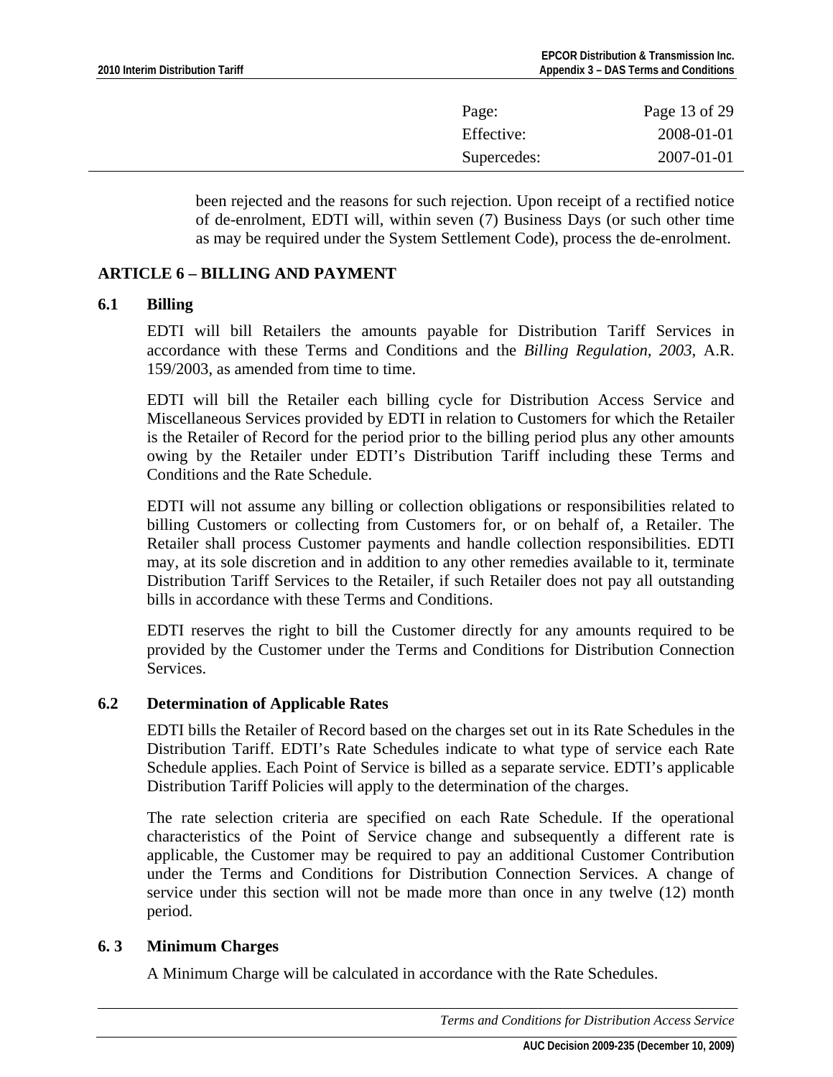<span id="page-12-0"></span>

| Page:       | Page 13 of 29 |
|-------------|---------------|
| Effective:  | 2008-01-01    |
| Supercedes: | 2007-01-01    |

been rejected and the reasons for such rejection. Upon receipt of a rectified notice of de-enrolment, EDTI will, within seven (7) Business Days (or such other time as may be required under the System Settlement Code), process the de-enrolment.

## **ARTICLE 6 – BILLING AND PAYMENT**

### **6.1 Billing**

EDTI will bill Retailers the amounts payable for Distribution Tariff Services in accordance with these Terms and Conditions and the *Billing Regulation, 2003*, A.R. 159/2003, as amended from time to time.

EDTI will bill the Retailer each billing cycle for Distribution Access Service and Miscellaneous Services provided by EDTI in relation to Customers for which the Retailer is the Retailer of Record for the period prior to the billing period plus any other amounts owing by the Retailer under EDTI's Distribution Tariff including these Terms and Conditions and the Rate Schedule.

EDTI will not assume any billing or collection obligations or responsibilities related to billing Customers or collecting from Customers for, or on behalf of, a Retailer. The Retailer shall process Customer payments and handle collection responsibilities. EDTI may, at its sole discretion and in addition to any other remedies available to it, terminate Distribution Tariff Services to the Retailer, if such Retailer does not pay all outstanding bills in accordance with these Terms and Conditions.

EDTI reserves the right to bill the Customer directly for any amounts required to be provided by the Customer under the Terms and Conditions for Distribution Connection **Services** 

### **6.2 Determination of Applicable Rates**

EDTI bills the Retailer of Record based on the charges set out in its Rate Schedules in the Distribution Tariff. EDTI's Rate Schedules indicate to what type of service each Rate Schedule applies. Each Point of Service is billed as a separate service. EDTI's applicable Distribution Tariff Policies will apply to the determination of the charges.

The rate selection criteria are specified on each Rate Schedule. If the operational characteristics of the Point of Service change and subsequently a different rate is applicable, the Customer may be required to pay an additional Customer Contribution under the Terms and Conditions for Distribution Connection Services. A change of service under this section will not be made more than once in any twelve (12) month period.

### **6. 3 Minimum Charges**

A Minimum Charge will be calculated in accordance with the Rate Schedules.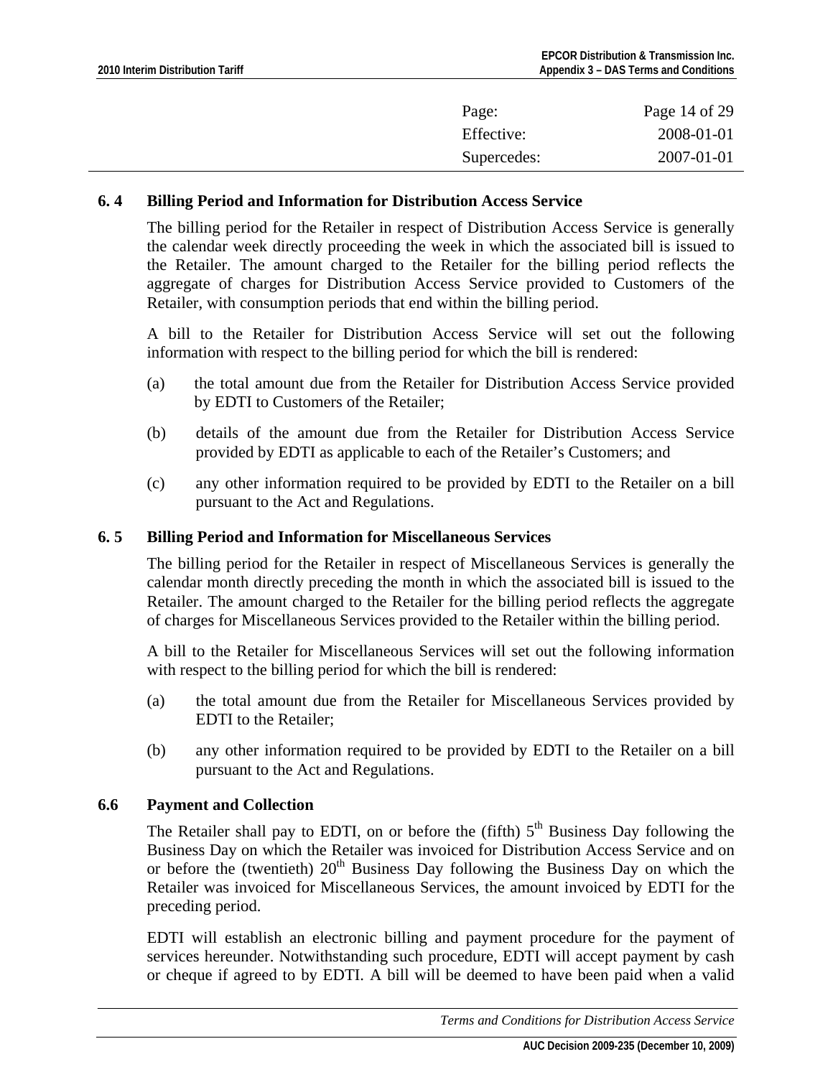<span id="page-13-0"></span>

| Page:       | Page 14 of 29 |
|-------------|---------------|
| Effective:  | 2008-01-01    |
| Supercedes: | 2007-01-01    |

### **6. 4 Billing Period and Information for Distribution Access Service**

The billing period for the Retailer in respect of Distribution Access Service is generally the calendar week directly proceeding the week in which the associated bill is issued to the Retailer. The amount charged to the Retailer for the billing period reflects the aggregate of charges for Distribution Access Service provided to Customers of the Retailer, with consumption periods that end within the billing period.

A bill to the Retailer for Distribution Access Service will set out the following information with respect to the billing period for which the bill is rendered:

- (a) the total amount due from the Retailer for Distribution Access Service provided by EDTI to Customers of the Retailer;
- (b) details of the amount due from the Retailer for Distribution Access Service provided by EDTI as applicable to each of the Retailer's Customers; and
- (c) any other information required to be provided by EDTI to the Retailer on a bill pursuant to the Act and Regulations.

### **6. 5 Billing Period and Information for Miscellaneous Services**

The billing period for the Retailer in respect of Miscellaneous Services is generally the calendar month directly preceding the month in which the associated bill is issued to the Retailer. The amount charged to the Retailer for the billing period reflects the aggregate of charges for Miscellaneous Services provided to the Retailer within the billing period.

A bill to the Retailer for Miscellaneous Services will set out the following information with respect to the billing period for which the bill is rendered:

- (a) the total amount due from the Retailer for Miscellaneous Services provided by EDTI to the Retailer;
- (b) any other information required to be provided by EDTI to the Retailer on a bill pursuant to the Act and Regulations.

### **6.6 Payment and Collection**

The Retailer shall pay to EDTI, on or before the (fifth)  $5<sup>th</sup>$  Business Day following the Business Day on which the Retailer was invoiced for Distribution Access Service and on or before the (twentieth)  $20<sup>th</sup>$  Business Day following the Business Day on which the Retailer was invoiced for Miscellaneous Services, the amount invoiced by EDTI for the preceding period.

EDTI will establish an electronic billing and payment procedure for the payment of services hereunder. Notwithstanding such procedure, EDTI will accept payment by cash or cheque if agreed to by EDTI. A bill will be deemed to have been paid when a valid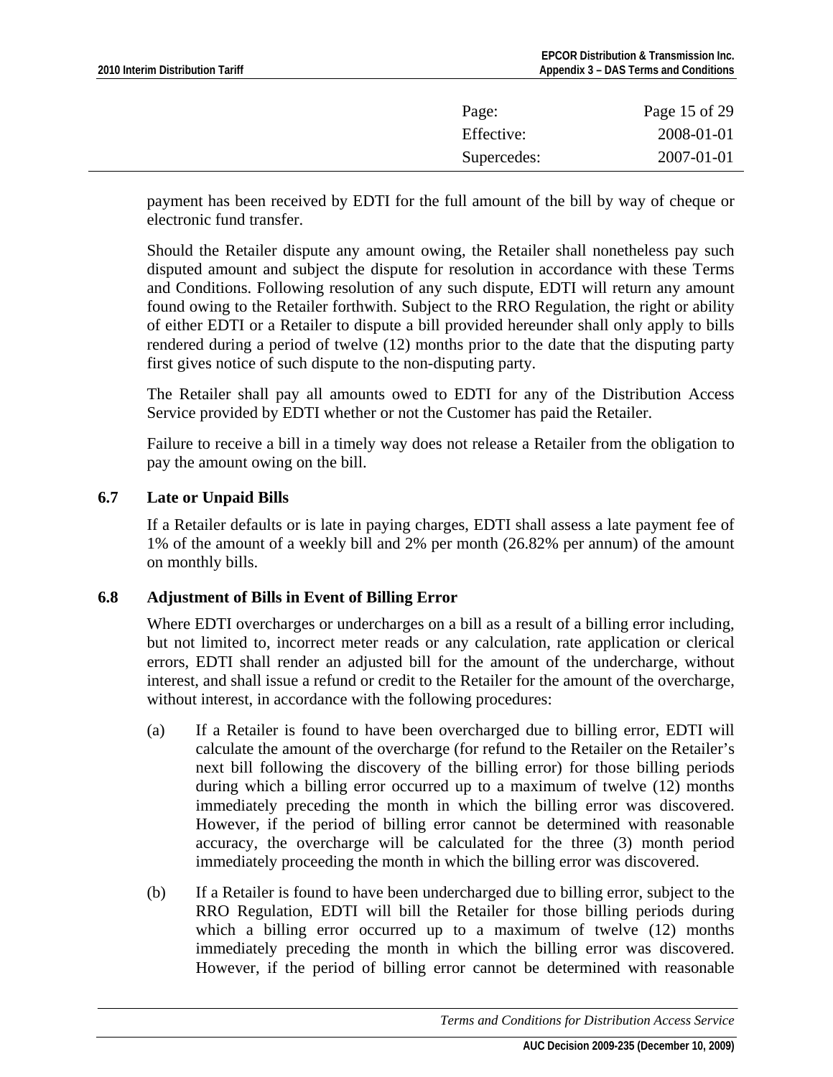<span id="page-14-0"></span>

| Page:       | Page 15 of 29 |
|-------------|---------------|
| Effective:  | 2008-01-01    |
| Supercedes: | 2007-01-01    |

payment has been received by EDTI for the full amount of the bill by way of cheque or electronic fund transfer.

Should the Retailer dispute any amount owing, the Retailer shall nonetheless pay such disputed amount and subject the dispute for resolution in accordance with these Terms and Conditions. Following resolution of any such dispute, EDTI will return any amount found owing to the Retailer forthwith. Subject to the RRO Regulation, the right or ability of either EDTI or a Retailer to dispute a bill provided hereunder shall only apply to bills rendered during a period of twelve (12) months prior to the date that the disputing party first gives notice of such dispute to the non-disputing party.

The Retailer shall pay all amounts owed to EDTI for any of the Distribution Access Service provided by EDTI whether or not the Customer has paid the Retailer.

Failure to receive a bill in a timely way does not release a Retailer from the obligation to pay the amount owing on the bill.

## **6.7 Late or Unpaid Bills**

If a Retailer defaults or is late in paying charges, EDTI shall assess a late payment fee of 1% of the amount of a weekly bill and 2% per month (26.82% per annum) of the amount on monthly bills.

## **6.8 Adjustment of Bills in Event of Billing Error**

Where EDTI overcharges or undercharges on a bill as a result of a billing error including, but not limited to, incorrect meter reads or any calculation, rate application or clerical errors, EDTI shall render an adjusted bill for the amount of the undercharge, without interest, and shall issue a refund or credit to the Retailer for the amount of the overcharge, without interest, in accordance with the following procedures:

- (a) If a Retailer is found to have been overcharged due to billing error, EDTI will calculate the amount of the overcharge (for refund to the Retailer on the Retailer's next bill following the discovery of the billing error) for those billing periods during which a billing error occurred up to a maximum of twelve (12) months immediately preceding the month in which the billing error was discovered. However, if the period of billing error cannot be determined with reasonable accuracy, the overcharge will be calculated for the three (3) month period immediately proceeding the month in which the billing error was discovered.
- (b) If a Retailer is found to have been undercharged due to billing error, subject to the RRO Regulation, EDTI will bill the Retailer for those billing periods during which a billing error occurred up to a maximum of twelve (12) months immediately preceding the month in which the billing error was discovered. However, if the period of billing error cannot be determined with reasonable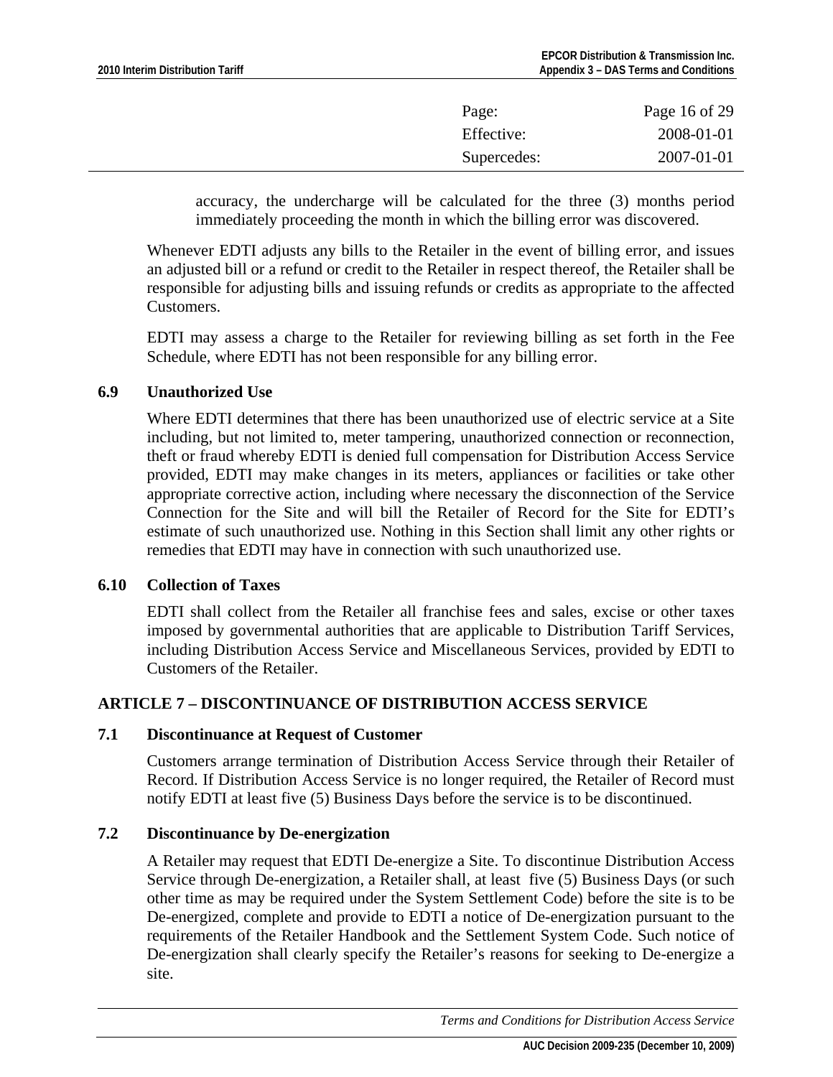<span id="page-15-0"></span>

| Effective:  |            |
|-------------|------------|
|             | 2008-01-01 |
| Supercedes: | 2007-01-01 |

accuracy, the undercharge will be calculated for the three (3) months period immediately proceeding the month in which the billing error was discovered.

Whenever EDTI adjusts any bills to the Retailer in the event of billing error, and issues an adjusted bill or a refund or credit to the Retailer in respect thereof, the Retailer shall be responsible for adjusting bills and issuing refunds or credits as appropriate to the affected Customers.

EDTI may assess a charge to the Retailer for reviewing billing as set forth in the Fee Schedule, where EDTI has not been responsible for any billing error.

## **6.9 Unauthorized Use**

Where EDTI determines that there has been unauthorized use of electric service at a Site including, but not limited to, meter tampering, unauthorized connection or reconnection, theft or fraud whereby EDTI is denied full compensation for Distribution Access Service provided, EDTI may make changes in its meters, appliances or facilities or take other appropriate corrective action, including where necessary the disconnection of the Service Connection for the Site and will bill the Retailer of Record for the Site for EDTI's estimate of such unauthorized use. Nothing in this Section shall limit any other rights or remedies that EDTI may have in connection with such unauthorized use.

### **6.10 Collection of Taxes**

EDTI shall collect from the Retailer all franchise fees and sales, excise or other taxes imposed by governmental authorities that are applicable to Distribution Tariff Services, including Distribution Access Service and Miscellaneous Services, provided by EDTI to Customers of the Retailer.

## **ARTICLE 7 – DISCONTINUANCE OF DISTRIBUTION ACCESS SERVICE**

### **7.1 Discontinuance at Request of Customer**

Customers arrange termination of Distribution Access Service through their Retailer of Record. If Distribution Access Service is no longer required, the Retailer of Record must notify EDTI at least five (5) Business Days before the service is to be discontinued.

### **7.2 Discontinuance by De-energization**

A Retailer may request that EDTI De-energize a Site. To discontinue Distribution Access Service through De-energization, a Retailer shall, at least five (5) Business Days (or such other time as may be required under the System Settlement Code) before the site is to be De-energized, complete and provide to EDTI a notice of De-energization pursuant to the requirements of the Retailer Handbook and the Settlement System Code. Such notice of De-energization shall clearly specify the Retailer's reasons for seeking to De-energize a site.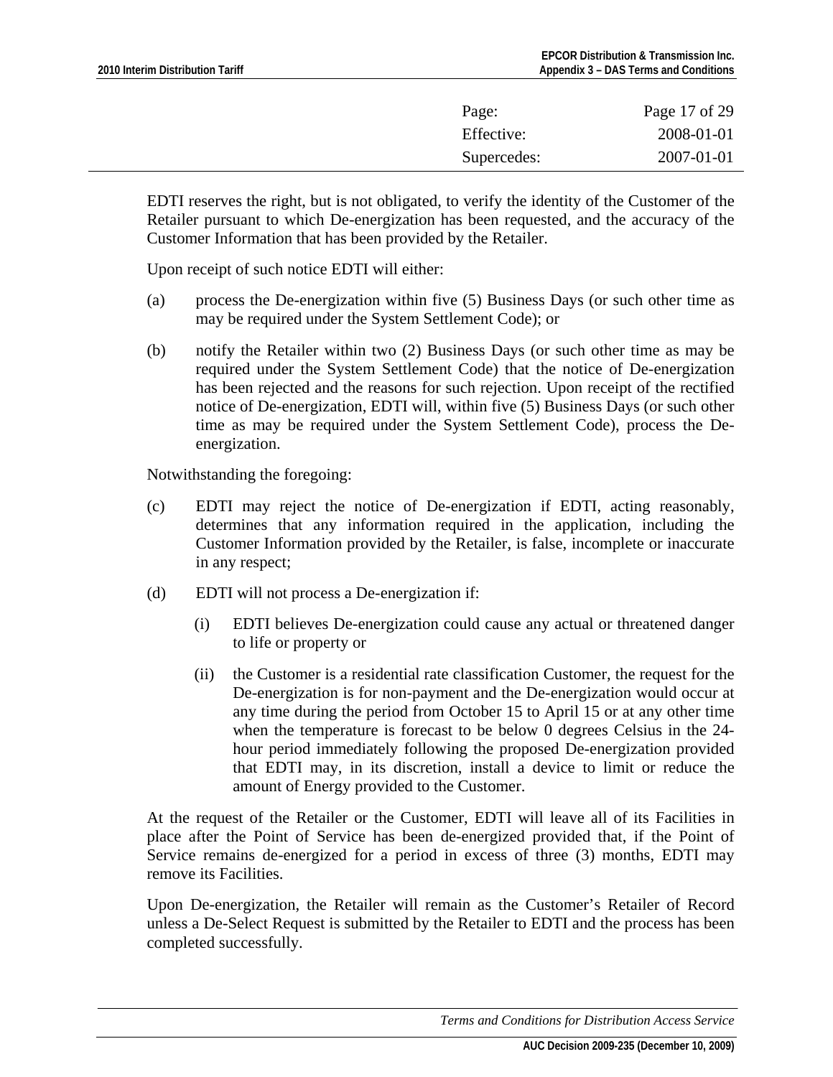| Page:       | Page 17 of 29 |
|-------------|---------------|
| Effective:  | 2008-01-01    |
| Supercedes: | 2007-01-01    |

EDTI reserves the right, but is not obligated, to verify the identity of the Customer of the Retailer pursuant to which De-energization has been requested, and the accuracy of the Customer Information that has been provided by the Retailer.

Upon receipt of such notice EDTI will either:

- (a) process the De-energization within five (5) Business Days (or such other time as may be required under the System Settlement Code); or
- (b) notify the Retailer within two (2) Business Days (or such other time as may be required under the System Settlement Code) that the notice of De-energization has been rejected and the reasons for such rejection. Upon receipt of the rectified notice of De-energization, EDTI will, within five (5) Business Days (or such other time as may be required under the System Settlement Code), process the Deenergization.

Notwithstanding the foregoing:

- (c) EDTI may reject the notice of De-energization if EDTI, acting reasonably, determines that any information required in the application, including the Customer Information provided by the Retailer, is false, incomplete or inaccurate in any respect;
- (d) EDTI will not process a De-energization if:
	- (i) EDTI believes De-energization could cause any actual or threatened danger to life or property or
	- (ii) the Customer is a residential rate classification Customer, the request for the De-energization is for non-payment and the De-energization would occur at any time during the period from October 15 to April 15 or at any other time when the temperature is forecast to be below 0 degrees Celsius in the 24 hour period immediately following the proposed De-energization provided that EDTI may, in its discretion, install a device to limit or reduce the amount of Energy provided to the Customer.

At the request of the Retailer or the Customer, EDTI will leave all of its Facilities in place after the Point of Service has been de-energized provided that, if the Point of Service remains de-energized for a period in excess of three (3) months, EDTI may remove its Facilities.

Upon De-energization, the Retailer will remain as the Customer's Retailer of Record unless a De-Select Request is submitted by the Retailer to EDTI and the process has been completed successfully.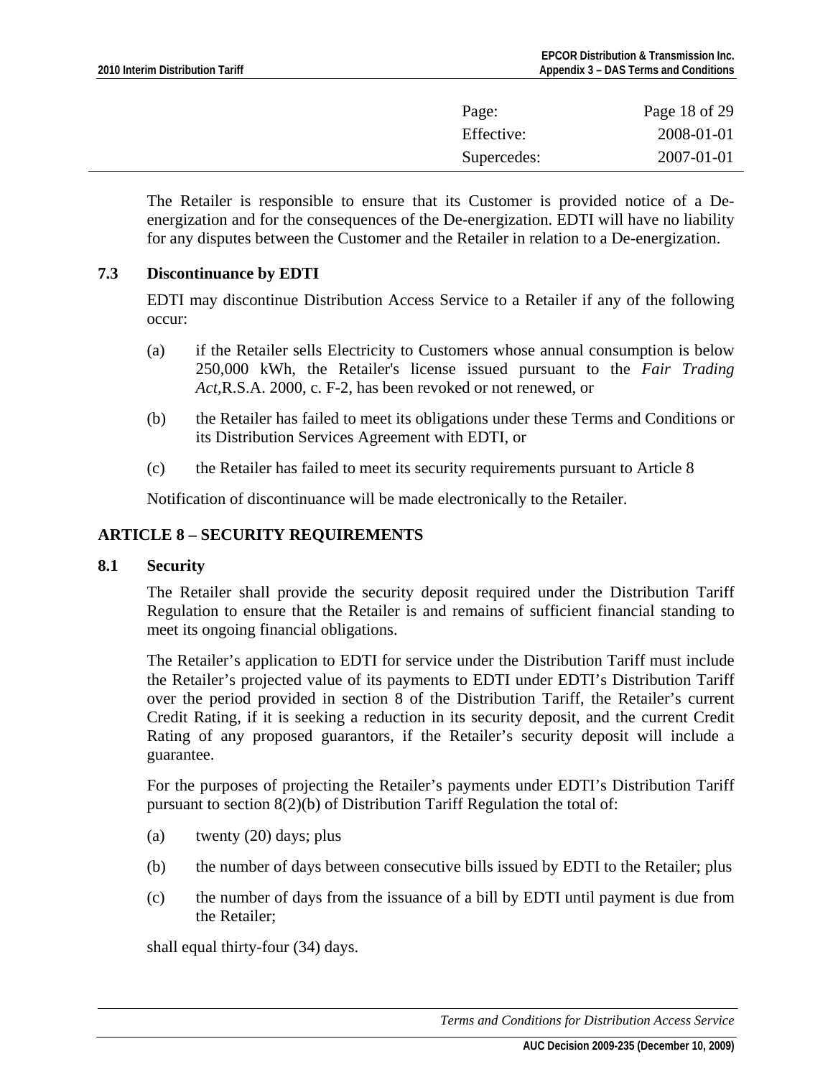<span id="page-17-0"></span>

| Page:       | Page 18 of 29 |
|-------------|---------------|
| Effective:  | 2008-01-01    |
| Supercedes: | 2007-01-01    |

The Retailer is responsible to ensure that its Customer is provided notice of a Deenergization and for the consequences of the De-energization. EDTI will have no liability for any disputes between the Customer and the Retailer in relation to a De-energization.

### **7.3 Discontinuance by EDTI**

EDTI may discontinue Distribution Access Service to a Retailer if any of the following occur:

- (a) if the Retailer sells Electricity to Customers whose annual consumption is below 250,000 kWh, the Retailer's license issued pursuant to the *Fair Trading Act,*R.S.A. 2000, c. F-2, has been revoked or not renewed, or
- (b) the Retailer has failed to meet its obligations under these Terms and Conditions or its Distribution Services Agreement with EDTI, or
- (c) the Retailer has failed to meet its security requirements pursuant to Article 8

Notification of discontinuance will be made electronically to the Retailer.

## **ARTICLE 8 – SECURITY REQUIREMENTS**

### **8.1 Security**

The Retailer shall provide the security deposit required under the Distribution Tariff Regulation to ensure that the Retailer is and remains of sufficient financial standing to meet its ongoing financial obligations.

The Retailer's application to EDTI for service under the Distribution Tariff must include the Retailer's projected value of its payments to EDTI under EDTI's Distribution Tariff over the period provided in section 8 of the Distribution Tariff, the Retailer's current Credit Rating, if it is seeking a reduction in its security deposit, and the current Credit Rating of any proposed guarantors, if the Retailer's security deposit will include a guarantee.

For the purposes of projecting the Retailer's payments under EDTI's Distribution Tariff pursuant to section 8(2)(b) of Distribution Tariff Regulation the total of:

- (a) twenty (20) days; plus
- (b) the number of days between consecutive bills issued by EDTI to the Retailer; plus
- (c) the number of days from the issuance of a bill by EDTI until payment is due from the Retailer;

shall equal thirty-four (34) days.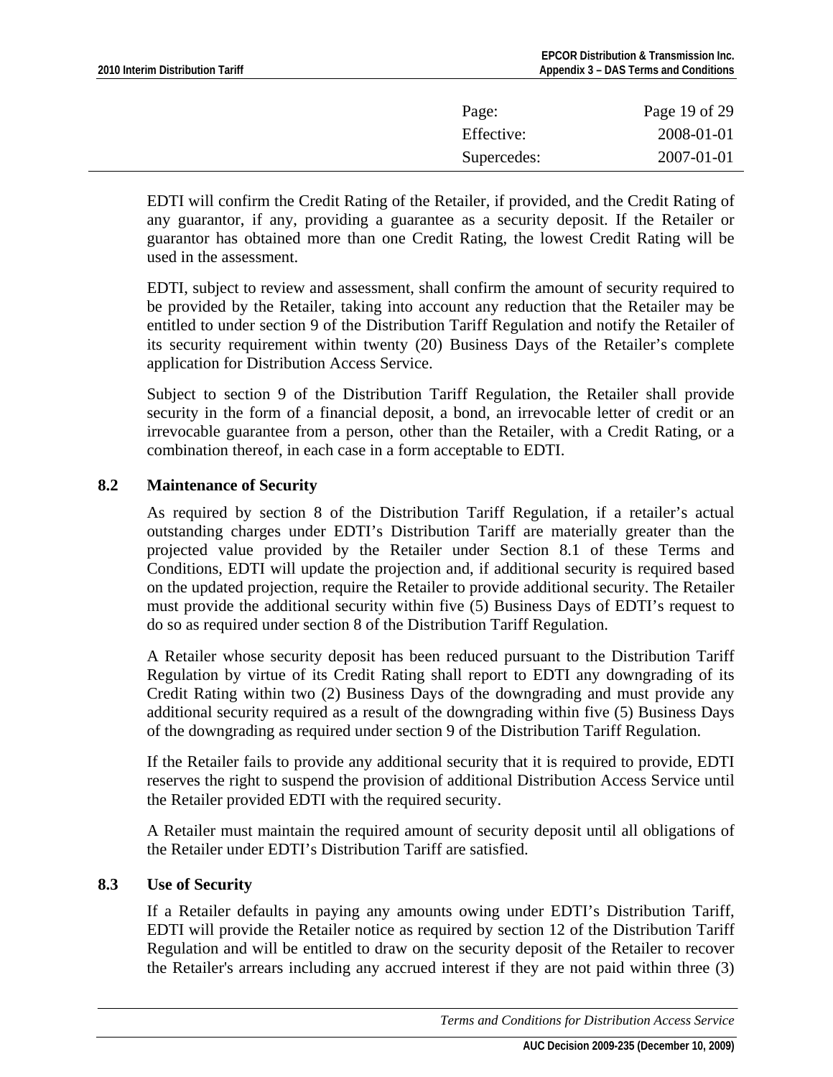<span id="page-18-0"></span>

| Page:       | Page 19 of 29 |
|-------------|---------------|
| Effective:  | 2008-01-01    |
| Supercedes: | 2007-01-01    |

EDTI will confirm the Credit Rating of the Retailer, if provided, and the Credit Rating of any guarantor, if any, providing a guarantee as a security deposit. If the Retailer or guarantor has obtained more than one Credit Rating, the lowest Credit Rating will be used in the assessment.

EDTI, subject to review and assessment, shall confirm the amount of security required to be provided by the Retailer, taking into account any reduction that the Retailer may be entitled to under section 9 of the Distribution Tariff Regulation and notify the Retailer of its security requirement within twenty (20) Business Days of the Retailer's complete application for Distribution Access Service.

Subject to section 9 of the Distribution Tariff Regulation, the Retailer shall provide security in the form of a financial deposit, a bond, an irrevocable letter of credit or an irrevocable guarantee from a person, other than the Retailer, with a Credit Rating, or a combination thereof, in each case in a form acceptable to EDTI.

## **8.2 Maintenance of Security**

As required by section 8 of the Distribution Tariff Regulation, if a retailer's actual outstanding charges under EDTI's Distribution Tariff are materially greater than the projected value provided by the Retailer under Section 8.1 of these Terms and Conditions, EDTI will update the projection and, if additional security is required based on the updated projection, require the Retailer to provide additional security. The Retailer must provide the additional security within five (5) Business Days of EDTI's request to do so as required under section 8 of the Distribution Tariff Regulation.

A Retailer whose security deposit has been reduced pursuant to the Distribution Tariff Regulation by virtue of its Credit Rating shall report to EDTI any downgrading of its Credit Rating within two (2) Business Days of the downgrading and must provide any additional security required as a result of the downgrading within five (5) Business Days of the downgrading as required under section 9 of the Distribution Tariff Regulation.

If the Retailer fails to provide any additional security that it is required to provide, EDTI reserves the right to suspend the provision of additional Distribution Access Service until the Retailer provided EDTI with the required security.

A Retailer must maintain the required amount of security deposit until all obligations of the Retailer under EDTI's Distribution Tariff are satisfied.

### **8.3 Use of Security**

If a Retailer defaults in paying any amounts owing under EDTI's Distribution Tariff, EDTI will provide the Retailer notice as required by section 12 of the Distribution Tariff Regulation and will be entitled to draw on the security deposit of the Retailer to recover the Retailer's arrears including any accrued interest if they are not paid within three (3)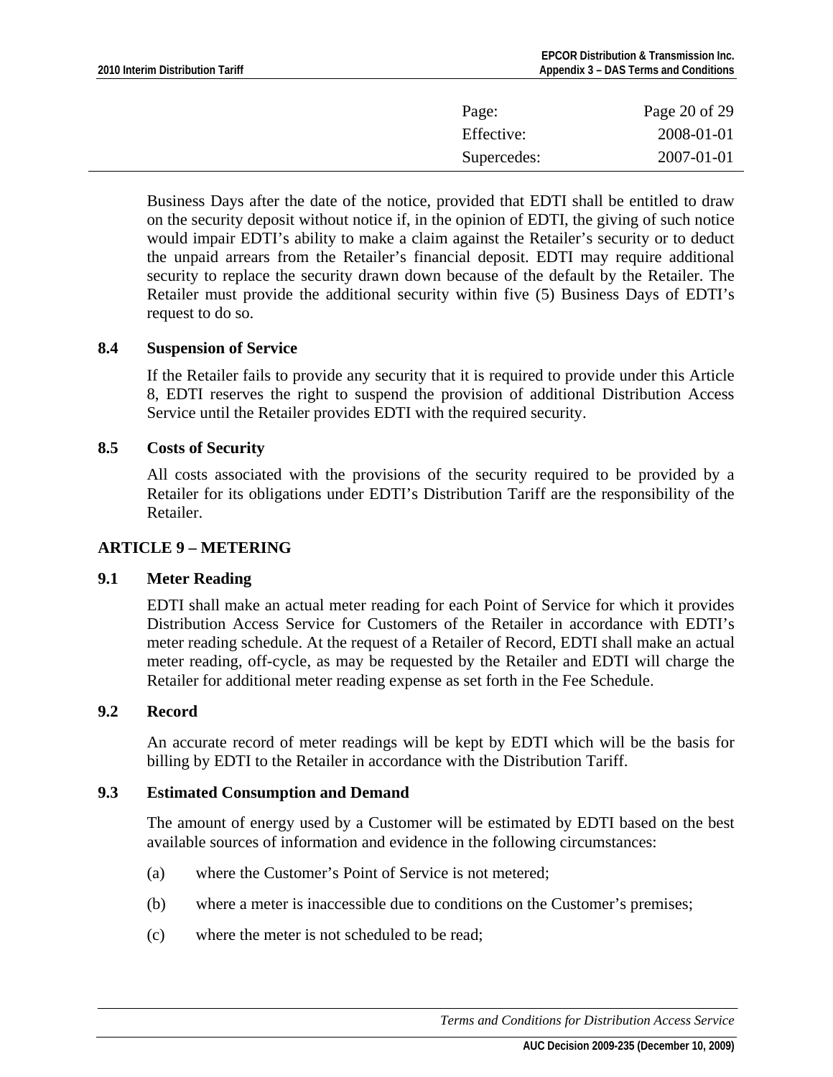<span id="page-19-0"></span>

| Page:       | Page 20 of 29 |
|-------------|---------------|
| Effective:  | 2008-01-01    |
| Supercedes: | 2007-01-01    |

Business Days after the date of the notice, provided that EDTI shall be entitled to draw on the security deposit without notice if, in the opinion of EDTI, the giving of such notice would impair EDTI's ability to make a claim against the Retailer's security or to deduct the unpaid arrears from the Retailer's financial deposit. EDTI may require additional security to replace the security drawn down because of the default by the Retailer. The Retailer must provide the additional security within five (5) Business Days of EDTI's request to do so.

### **8.4 Suspension of Service**

If the Retailer fails to provide any security that it is required to provide under this Article 8, EDTI reserves the right to suspend the provision of additional Distribution Access Service until the Retailer provides EDTI with the required security.

#### **8.5 Costs of Security**

All costs associated with the provisions of the security required to be provided by a Retailer for its obligations under EDTI's Distribution Tariff are the responsibility of the Retailer.

#### **ARTICLE 9 – METERING**

### **9.1 Meter Reading**

EDTI shall make an actual meter reading for each Point of Service for which it provides Distribution Access Service for Customers of the Retailer in accordance with EDTI's meter reading schedule. At the request of a Retailer of Record, EDTI shall make an actual meter reading, off-cycle, as may be requested by the Retailer and EDTI will charge the Retailer for additional meter reading expense as set forth in the Fee Schedule.

### **9.2 Record**

An accurate record of meter readings will be kept by EDTI which will be the basis for billing by EDTI to the Retailer in accordance with the Distribution Tariff.

#### **9.3 Estimated Consumption and Demand**

The amount of energy used by a Customer will be estimated by EDTI based on the best available sources of information and evidence in the following circumstances:

- (a) where the Customer's Point of Service is not metered;
- (b) where a meter is inaccessible due to conditions on the Customer's premises;
- (c) where the meter is not scheduled to be read;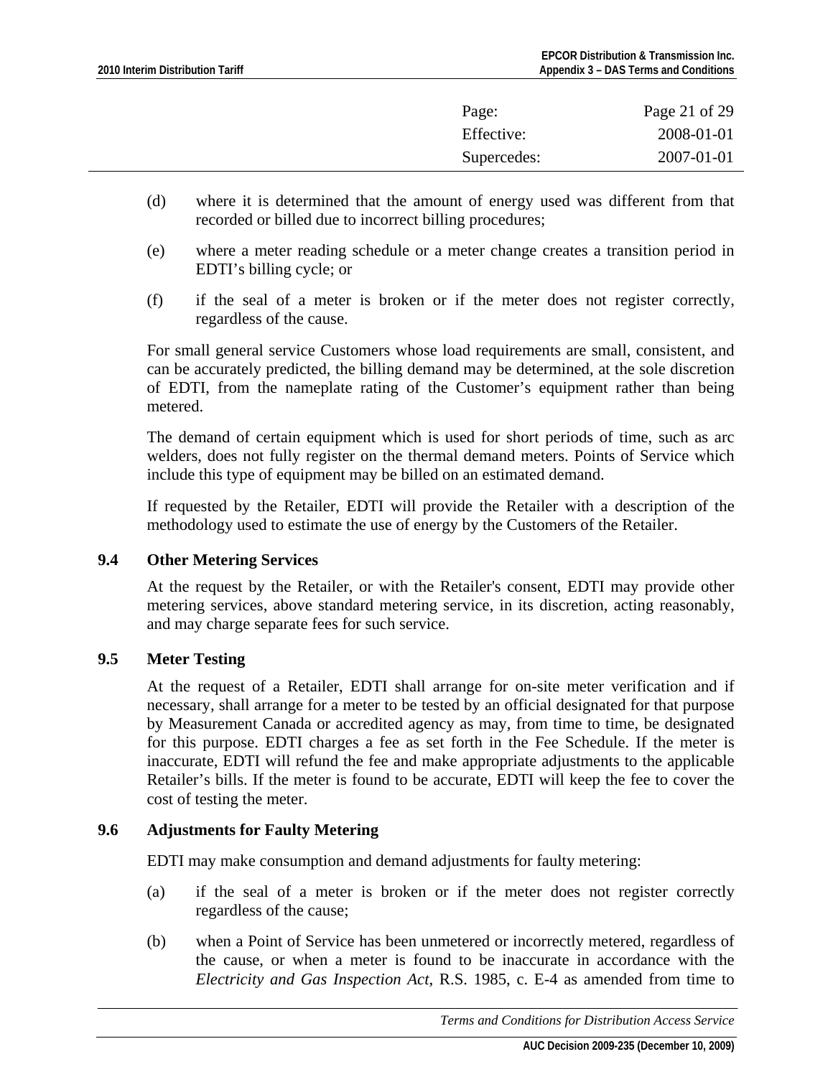<span id="page-20-0"></span>

| Page:       | Page 21 of 29 |
|-------------|---------------|
| Effective:  | 2008-01-01    |
| Supercedes: | 2007-01-01    |

- (d) where it is determined that the amount of energy used was different from that recorded or billed due to incorrect billing procedures;
- (e) where a meter reading schedule or a meter change creates a transition period in EDTI's billing cycle; or
- (f) if the seal of a meter is broken or if the meter does not register correctly, regardless of the cause.

For small general service Customers whose load requirements are small, consistent, and can be accurately predicted, the billing demand may be determined, at the sole discretion of EDTI, from the nameplate rating of the Customer's equipment rather than being metered.

The demand of certain equipment which is used for short periods of time, such as arc welders, does not fully register on the thermal demand meters. Points of Service which include this type of equipment may be billed on an estimated demand.

If requested by the Retailer, EDTI will provide the Retailer with a description of the methodology used to estimate the use of energy by the Customers of the Retailer.

## **9.4 Other Metering Services**

At the request by the Retailer, or with the Retailer's consent, EDTI may provide other metering services, above standard metering service, in its discretion, acting reasonably, and may charge separate fees for such service.

## **9.5 Meter Testing**

At the request of a Retailer, EDTI shall arrange for on-site meter verification and if necessary, shall arrange for a meter to be tested by an official designated for that purpose by Measurement Canada or accredited agency as may, from time to time, be designated for this purpose. EDTI charges a fee as set forth in the Fee Schedule. If the meter is inaccurate, EDTI will refund the fee and make appropriate adjustments to the applicable Retailer's bills. If the meter is found to be accurate, EDTI will keep the fee to cover the cost of testing the meter.

### **9.6 Adjustments for Faulty Metering**

EDTI may make consumption and demand adjustments for faulty metering:

- (a) if the seal of a meter is broken or if the meter does not register correctly regardless of the cause;
- (b) when a Point of Service has been unmetered or incorrectly metered, regardless of the cause, or when a meter is found to be inaccurate in accordance with the *Electricity and Gas Inspection Act*, R.S. 1985, c. E-4 as amended from time to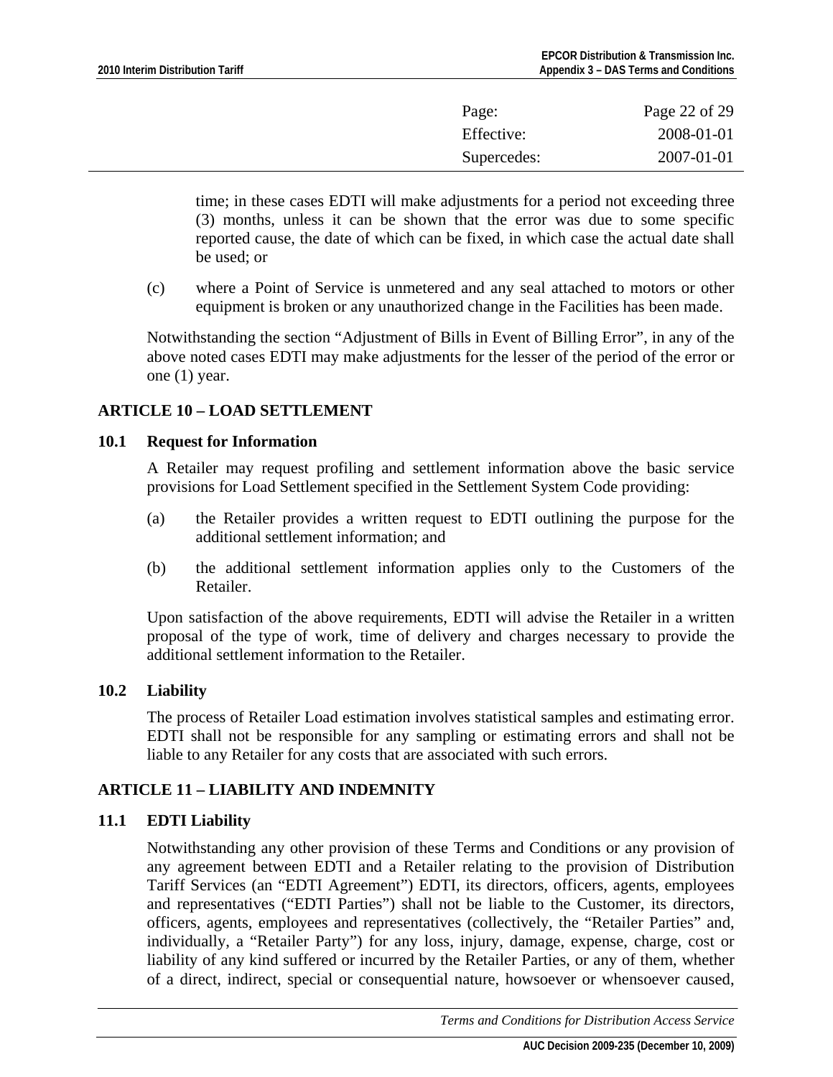<span id="page-21-0"></span>

| Page:       | Page 22 of 29 |
|-------------|---------------|
| Effective:  | 2008-01-01    |
| Supercedes: | 2007-01-01    |

time; in these cases EDTI will make adjustments for a period not exceeding three (3) months, unless it can be shown that the error was due to some specific reported cause, the date of which can be fixed, in which case the actual date shall be used; or

(c) where a Point of Service is unmetered and any seal attached to motors or other equipment is broken or any unauthorized change in the Facilities has been made.

Notwithstanding the section "Adjustment of Bills in Event of Billing Error", in any of the above noted cases EDTI may make adjustments for the lesser of the period of the error or one (1) year.

## **ARTICLE 10 – LOAD SETTLEMENT**

### **10.1 Request for Information**

A Retailer may request profiling and settlement information above the basic service provisions for Load Settlement specified in the Settlement System Code providing:

- (a) the Retailer provides a written request to EDTI outlining the purpose for the additional settlement information; and
- (b) the additional settlement information applies only to the Customers of the Retailer.

Upon satisfaction of the above requirements, EDTI will advise the Retailer in a written proposal of the type of work, time of delivery and charges necessary to provide the additional settlement information to the Retailer.

### **10.2 Liability**

The process of Retailer Load estimation involves statistical samples and estimating error. EDTI shall not be responsible for any sampling or estimating errors and shall not be liable to any Retailer for any costs that are associated with such errors.

## **ARTICLE 11 – LIABILITY AND INDEMNITY**

## **11.1 EDTI Liability**

Notwithstanding any other provision of these Terms and Conditions or any provision of any agreement between EDTI and a Retailer relating to the provision of Distribution Tariff Services (an "EDTI Agreement") EDTI, its directors, officers, agents, employees and representatives ("EDTI Parties") shall not be liable to the Customer, its directors, officers, agents, employees and representatives (collectively, the "Retailer Parties" and, individually, a "Retailer Party") for any loss, injury, damage, expense, charge, cost or liability of any kind suffered or incurred by the Retailer Parties, or any of them, whether of a direct, indirect, special or consequential nature, howsoever or whensoever caused,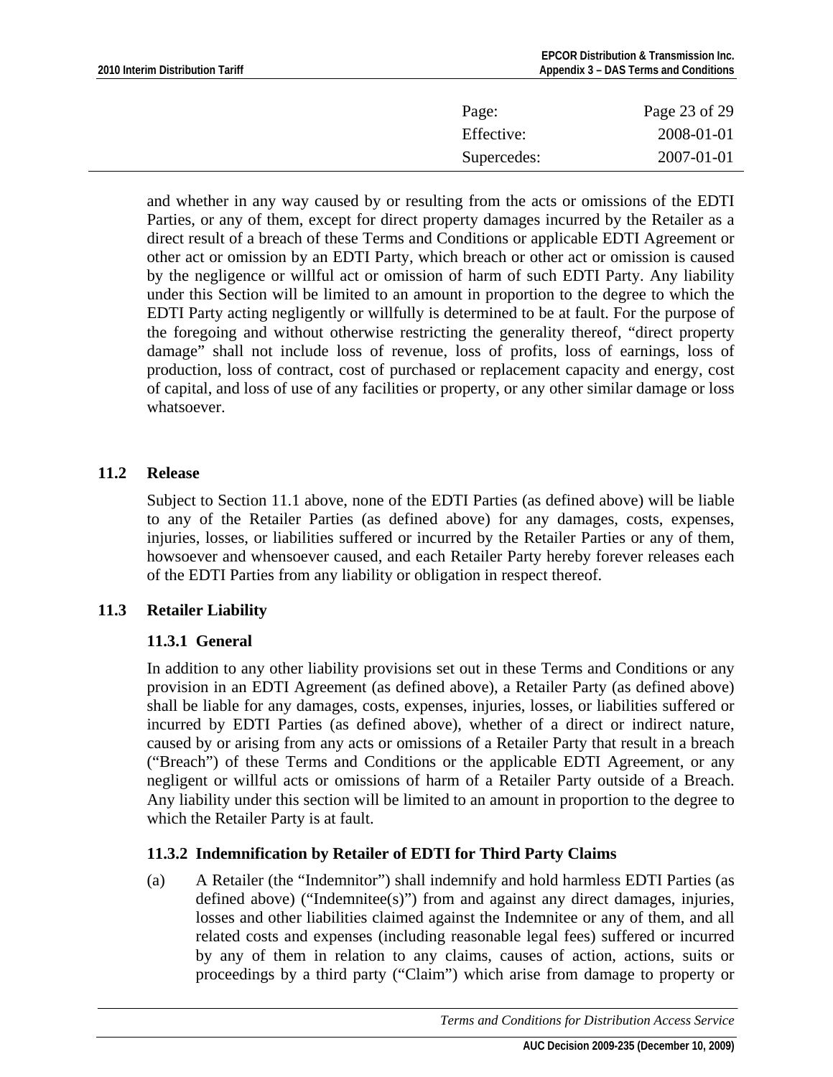<span id="page-22-0"></span>

| Page:       | Page 23 of 29 |
|-------------|---------------|
| Effective:  | 2008-01-01    |
| Supercedes: | 2007-01-01    |

and whether in any way caused by or resulting from the acts or omissions of the EDTI Parties, or any of them, except for direct property damages incurred by the Retailer as a direct result of a breach of these Terms and Conditions or applicable EDTI Agreement or other act or omission by an EDTI Party, which breach or other act or omission is caused by the negligence or willful act or omission of harm of such EDTI Party. Any liability under this Section will be limited to an amount in proportion to the degree to which the EDTI Party acting negligently or willfully is determined to be at fault. For the purpose of the foregoing and without otherwise restricting the generality thereof, "direct property damage" shall not include loss of revenue, loss of profits, loss of earnings, loss of production, loss of contract, cost of purchased or replacement capacity and energy, cost of capital, and loss of use of any facilities or property, or any other similar damage or loss whatsoever.

### **11.2 Release**

Subject to Section 11.1 above, none of the EDTI Parties (as defined above) will be liable to any of the Retailer Parties (as defined above) for any damages, costs, expenses, injuries, losses, or liabilities suffered or incurred by the Retailer Parties or any of them, howsoever and whensoever caused, and each Retailer Party hereby forever releases each of the EDTI Parties from any liability or obligation in respect thereof.

## **11.3 Retailer Liability**

## **11.3.1 General**

In addition to any other liability provisions set out in these Terms and Conditions or any provision in an EDTI Agreement (as defined above), a Retailer Party (as defined above) shall be liable for any damages, costs, expenses, injuries, losses, or liabilities suffered or incurred by EDTI Parties (as defined above), whether of a direct or indirect nature, caused by or arising from any acts or omissions of a Retailer Party that result in a breach ("Breach") of these Terms and Conditions or the applicable EDTI Agreement, or any negligent or willful acts or omissions of harm of a Retailer Party outside of a Breach. Any liability under this section will be limited to an amount in proportion to the degree to which the Retailer Party is at fault.

## **11.3.2 Indemnification by Retailer of EDTI for Third Party Claims**

(a) A Retailer (the "Indemnitor") shall indemnify and hold harmless EDTI Parties (as defined above) ("Indemnitee(s)") from and against any direct damages, injuries, losses and other liabilities claimed against the Indemnitee or any of them, and all related costs and expenses (including reasonable legal fees) suffered or incurred by any of them in relation to any claims, causes of action, actions, suits or proceedings by a third party ("Claim") which arise from damage to property or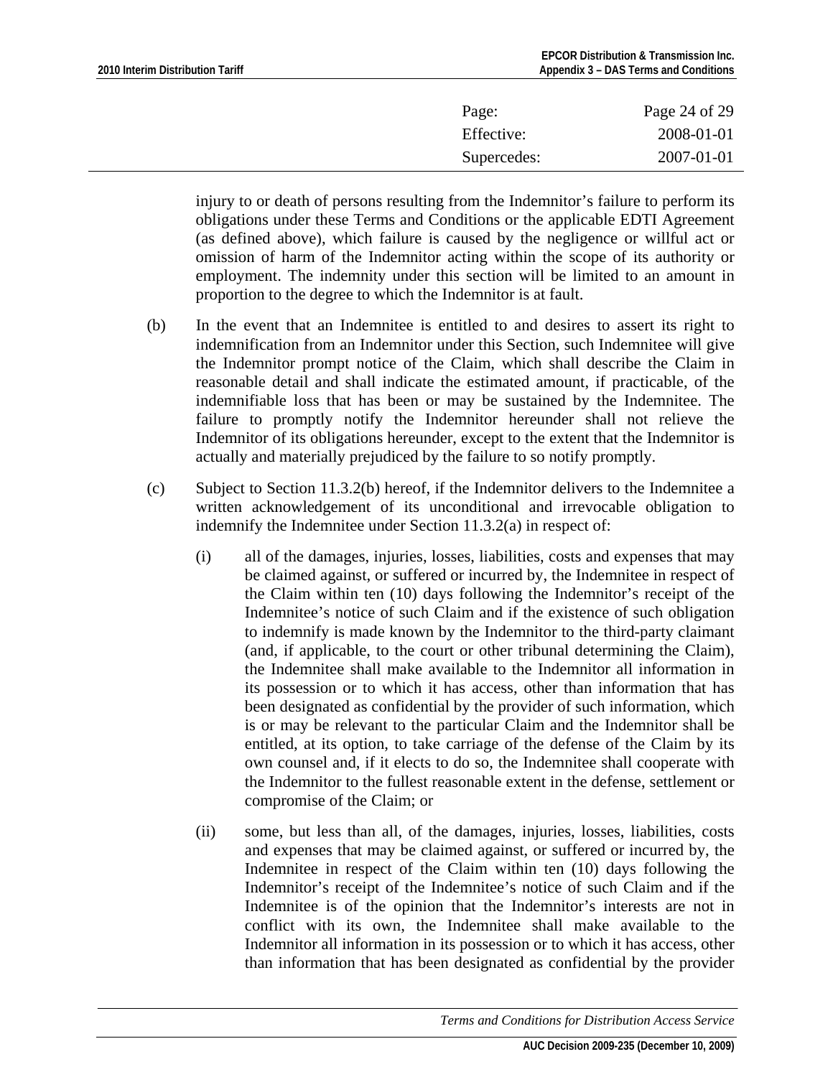| Effective:  | Page: | Page 24 of 29 |
|-------------|-------|---------------|
|             |       | 2008-01-01    |
| Supercedes: |       | 2007-01-01    |

injury to or death of persons resulting from the Indemnitor's failure to perform its obligations under these Terms and Conditions or the applicable EDTI Agreement (as defined above), which failure is caused by the negligence or willful act or omission of harm of the Indemnitor acting within the scope of its authority or employment. The indemnity under this section will be limited to an amount in proportion to the degree to which the Indemnitor is at fault.

- (b) In the event that an Indemnitee is entitled to and desires to assert its right to indemnification from an Indemnitor under this Section, such Indemnitee will give the Indemnitor prompt notice of the Claim, which shall describe the Claim in reasonable detail and shall indicate the estimated amount, if practicable, of the indemnifiable loss that has been or may be sustained by the Indemnitee. The failure to promptly notify the Indemnitor hereunder shall not relieve the Indemnitor of its obligations hereunder, except to the extent that the Indemnitor is actually and materially prejudiced by the failure to so notify promptly.
- (c) Subject to Section 11.3.2(b) hereof, if the Indemnitor delivers to the Indemnitee a written acknowledgement of its unconditional and irrevocable obligation to indemnify the Indemnitee under Section 11.3.2(a) in respect of:
	- (i) all of the damages, injuries, losses, liabilities, costs and expenses that may be claimed against, or suffered or incurred by, the Indemnitee in respect of the Claim within ten (10) days following the Indemnitor's receipt of the Indemnitee's notice of such Claim and if the existence of such obligation to indemnify is made known by the Indemnitor to the third-party claimant (and, if applicable, to the court or other tribunal determining the Claim), the Indemnitee shall make available to the Indemnitor all information in its possession or to which it has access, other than information that has been designated as confidential by the provider of such information, which is or may be relevant to the particular Claim and the Indemnitor shall be entitled, at its option, to take carriage of the defense of the Claim by its own counsel and, if it elects to do so, the Indemnitee shall cooperate with the Indemnitor to the fullest reasonable extent in the defense, settlement or compromise of the Claim; or
	- (ii) some, but less than all, of the damages, injuries, losses, liabilities, costs and expenses that may be claimed against, or suffered or incurred by, the Indemnitee in respect of the Claim within ten (10) days following the Indemnitor's receipt of the Indemnitee's notice of such Claim and if the Indemnitee is of the opinion that the Indemnitor's interests are not in conflict with its own, the Indemnitee shall make available to the Indemnitor all information in its possession or to which it has access, other than information that has been designated as confidential by the provider

*Terms and Conditions for Distribution Access Service*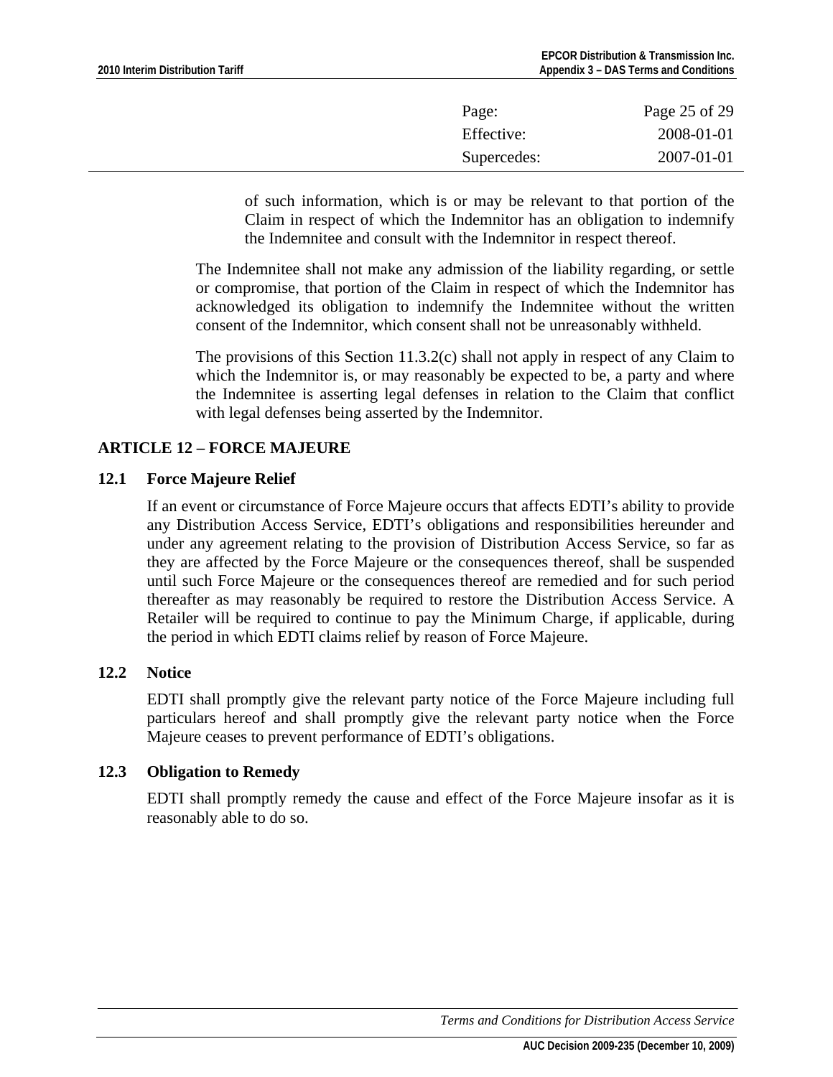<span id="page-24-0"></span>

| Page:       | Page 25 of 29 |
|-------------|---------------|
| Effective:  | 2008-01-01    |
| Supercedes: | 2007-01-01    |

of such information, which is or may be relevant to that portion of the Claim in respect of which the Indemnitor has an obligation to indemnify the Indemnitee and consult with the Indemnitor in respect thereof.

The Indemnitee shall not make any admission of the liability regarding, or settle or compromise, that portion of the Claim in respect of which the Indemnitor has acknowledged its obligation to indemnify the Indemnitee without the written consent of the Indemnitor, which consent shall not be unreasonably withheld.

The provisions of this Section 11.3.2(c) shall not apply in respect of any Claim to which the Indemnitor is, or may reasonably be expected to be, a party and where the Indemnitee is asserting legal defenses in relation to the Claim that conflict with legal defenses being asserted by the Indemnitor.

# **ARTICLE 12 – FORCE MAJEURE**

## **12.1 Force Majeure Relief**

If an event or circumstance of Force Majeure occurs that affects EDTI's ability to provide any Distribution Access Service, EDTI's obligations and responsibilities hereunder and under any agreement relating to the provision of Distribution Access Service, so far as they are affected by the Force Majeure or the consequences thereof, shall be suspended until such Force Majeure or the consequences thereof are remedied and for such period thereafter as may reasonably be required to restore the Distribution Access Service. A Retailer will be required to continue to pay the Minimum Charge, if applicable, during the period in which EDTI claims relief by reason of Force Majeure.

### **12.2 Notice**

EDTI shall promptly give the relevant party notice of the Force Majeure including full particulars hereof and shall promptly give the relevant party notice when the Force Majeure ceases to prevent performance of EDTI's obligations.

## **12.3 Obligation to Remedy**

EDTI shall promptly remedy the cause and effect of the Force Majeure insofar as it is reasonably able to do so.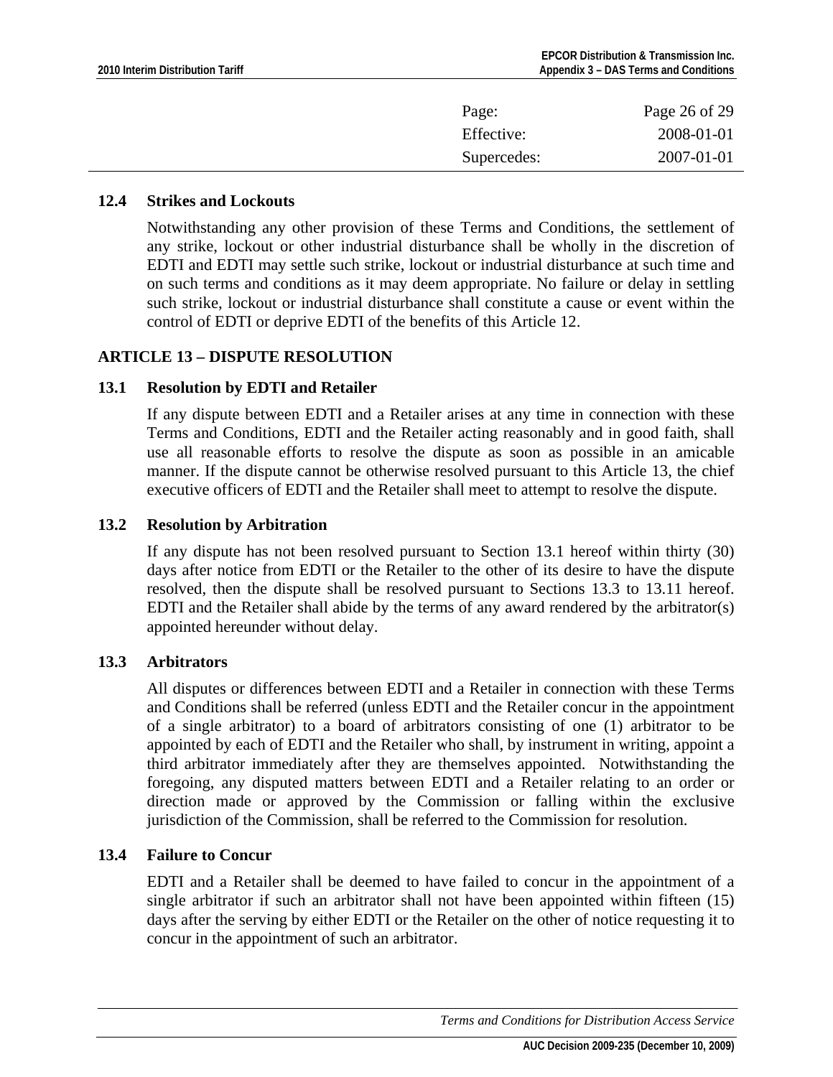<span id="page-25-0"></span>

| Page:       | Page 26 of 29 |
|-------------|---------------|
| Effective:  | 2008-01-01    |
| Supercedes: | 2007-01-01    |

### **12.4 Strikes and Lockouts**

Notwithstanding any other provision of these Terms and Conditions, the settlement of any strike, lockout or other industrial disturbance shall be wholly in the discretion of EDTI and EDTI may settle such strike, lockout or industrial disturbance at such time and on such terms and conditions as it may deem appropriate. No failure or delay in settling such strike, lockout or industrial disturbance shall constitute a cause or event within the control of EDTI or deprive EDTI of the benefits of this Article 12.

### **ARTICLE 13 – DISPUTE RESOLUTION**

### **13.1 Resolution by EDTI and Retailer**

If any dispute between EDTI and a Retailer arises at any time in connection with these Terms and Conditions, EDTI and the Retailer acting reasonably and in good faith, shall use all reasonable efforts to resolve the dispute as soon as possible in an amicable manner. If the dispute cannot be otherwise resolved pursuant to this Article 13, the chief executive officers of EDTI and the Retailer shall meet to attempt to resolve the dispute.

### **13.2 Resolution by Arbitration**

If any dispute has not been resolved pursuant to Section 13.1 hereof within thirty (30) days after notice from EDTI or the Retailer to the other of its desire to have the dispute resolved, then the dispute shall be resolved pursuant to Sections 13.3 to 13.11 hereof. EDTI and the Retailer shall abide by the terms of any award rendered by the arbitrator(s) appointed hereunder without delay.

## **13.3 Arbitrators**

All disputes or differences between EDTI and a Retailer in connection with these Terms and Conditions shall be referred (unless EDTI and the Retailer concur in the appointment of a single arbitrator) to a board of arbitrators consisting of one (1) arbitrator to be appointed by each of EDTI and the Retailer who shall, by instrument in writing, appoint a third arbitrator immediately after they are themselves appointed. Notwithstanding the foregoing, any disputed matters between EDTI and a Retailer relating to an order or direction made or approved by the Commission or falling within the exclusive jurisdiction of the Commission, shall be referred to the Commission for resolution.

### **13.4 Failure to Concur**

EDTI and a Retailer shall be deemed to have failed to concur in the appointment of a single arbitrator if such an arbitrator shall not have been appointed within fifteen (15) days after the serving by either EDTI or the Retailer on the other of notice requesting it to concur in the appointment of such an arbitrator.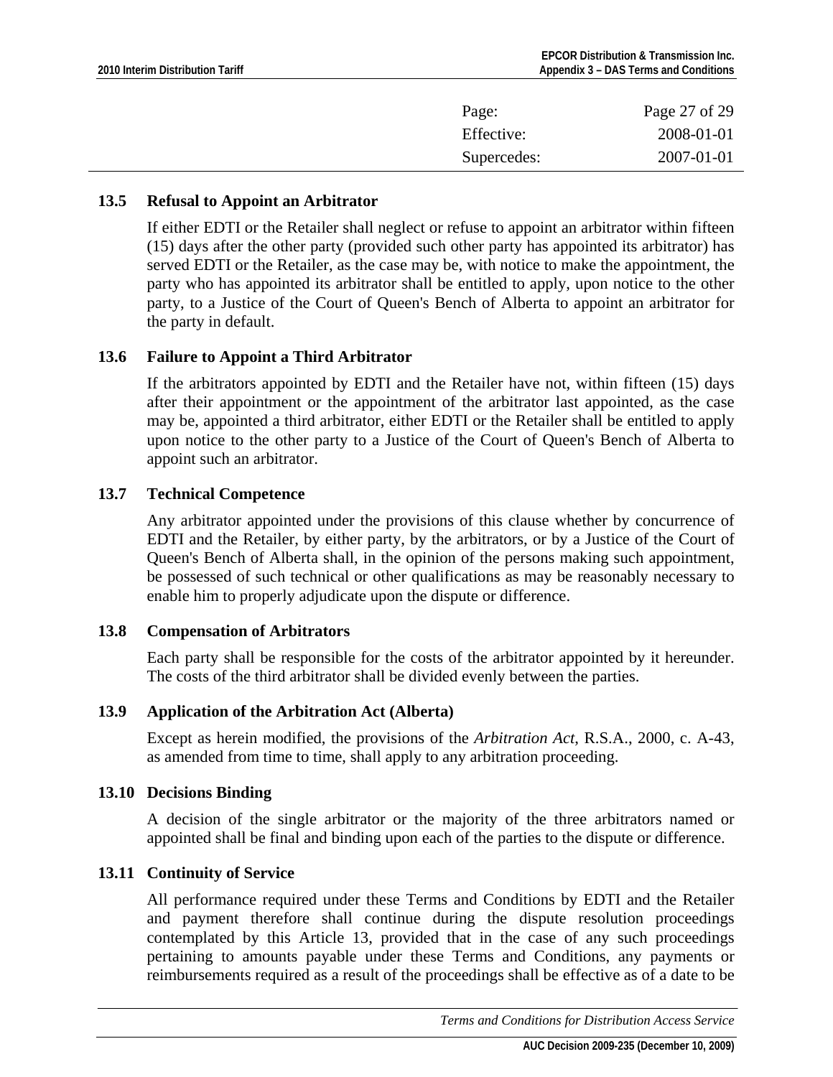<span id="page-26-0"></span>

| Page:       | Page 27 of 29 |
|-------------|---------------|
| Effective:  | 2008-01-01    |
| Supercedes: | 2007-01-01    |

### **13.5 Refusal to Appoint an Arbitrator**

If either EDTI or the Retailer shall neglect or refuse to appoint an arbitrator within fifteen (15) days after the other party (provided such other party has appointed its arbitrator) has served EDTI or the Retailer, as the case may be, with notice to make the appointment, the party who has appointed its arbitrator shall be entitled to apply, upon notice to the other party, to a Justice of the Court of Queen's Bench of Alberta to appoint an arbitrator for the party in default.

### **13.6 Failure to Appoint a Third Arbitrator**

If the arbitrators appointed by EDTI and the Retailer have not, within fifteen (15) days after their appointment or the appointment of the arbitrator last appointed, as the case may be, appointed a third arbitrator, either EDTI or the Retailer shall be entitled to apply upon notice to the other party to a Justice of the Court of Queen's Bench of Alberta to appoint such an arbitrator.

### **13.7 Technical Competence**

Any arbitrator appointed under the provisions of this clause whether by concurrence of EDTI and the Retailer, by either party, by the arbitrators, or by a Justice of the Court of Queen's Bench of Alberta shall, in the opinion of the persons making such appointment, be possessed of such technical or other qualifications as may be reasonably necessary to enable him to properly adjudicate upon the dispute or difference.

### **13.8 Compensation of Arbitrators**

Each party shall be responsible for the costs of the arbitrator appointed by it hereunder. The costs of the third arbitrator shall be divided evenly between the parties.

### **13.9 Application of the Arbitration Act (Alberta)**

Except as herein modified, the provisions of the *Arbitration Act*, R.S.A., 2000, c. A-43, as amended from time to time, shall apply to any arbitration proceeding.

### **13.10 Decisions Binding**

A decision of the single arbitrator or the majority of the three arbitrators named or appointed shall be final and binding upon each of the parties to the dispute or difference.

### **13.11 Continuity of Service**

All performance required under these Terms and Conditions by EDTI and the Retailer and payment therefore shall continue during the dispute resolution proceedings contemplated by this Article 13, provided that in the case of any such proceedings pertaining to amounts payable under these Terms and Conditions, any payments or reimbursements required as a result of the proceedings shall be effective as of a date to be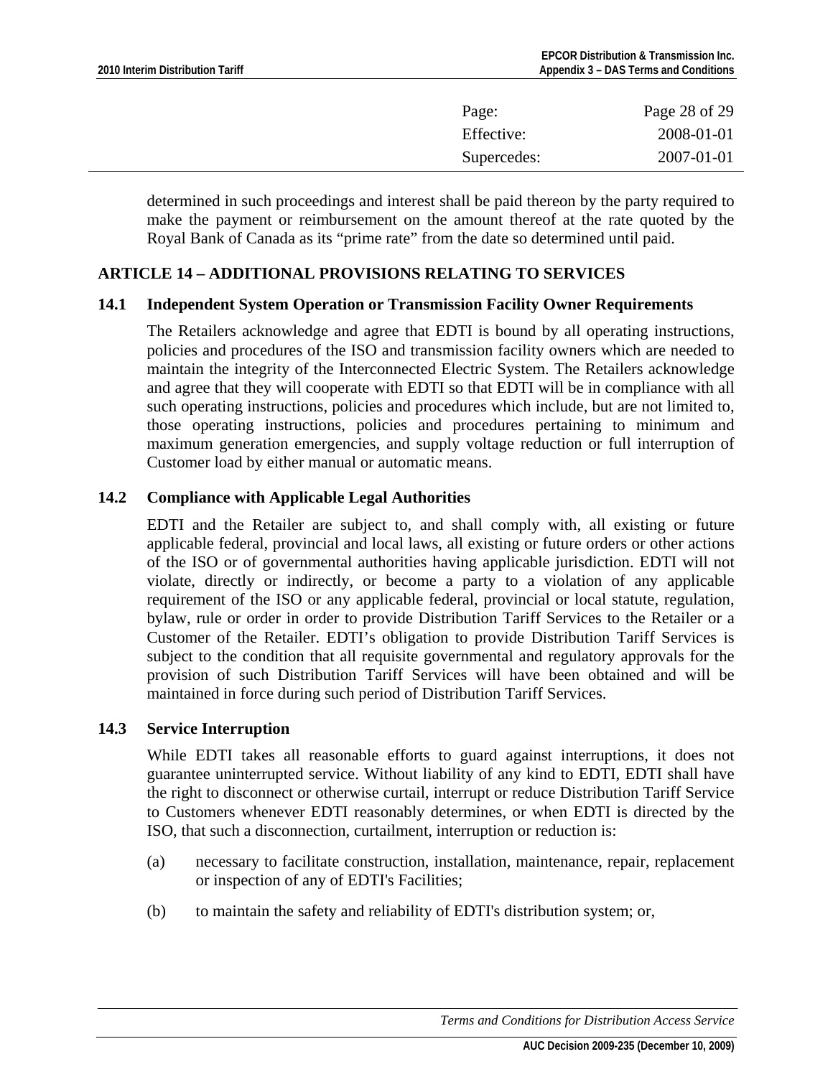<span id="page-27-0"></span>

| Page:       | Page 28 of 29 |
|-------------|---------------|
| Effective:  | 2008-01-01    |
| Supercedes: | 2007-01-01    |

determined in such proceedings and interest shall be paid thereon by the party required to make the payment or reimbursement on the amount thereof at the rate quoted by the Royal Bank of Canada as its "prime rate" from the date so determined until paid.

### **ARTICLE 14 – ADDITIONAL PROVISIONS RELATING TO SERVICES**

#### **14.1 Independent System Operation or Transmission Facility Owner Requirements**

The Retailers acknowledge and agree that EDTI is bound by all operating instructions, policies and procedures of the ISO and transmission facility owners which are needed to maintain the integrity of the Interconnected Electric System. The Retailers acknowledge and agree that they will cooperate with EDTI so that EDTI will be in compliance with all such operating instructions, policies and procedures which include, but are not limited to, those operating instructions, policies and procedures pertaining to minimum and maximum generation emergencies, and supply voltage reduction or full interruption of Customer load by either manual or automatic means.

### **14.2 Compliance with Applicable Legal Authorities**

EDTI and the Retailer are subject to, and shall comply with, all existing or future applicable federal, provincial and local laws, all existing or future orders or other actions of the ISO or of governmental authorities having applicable jurisdiction. EDTI will not violate, directly or indirectly, or become a party to a violation of any applicable requirement of the ISO or any applicable federal, provincial or local statute, regulation, bylaw, rule or order in order to provide Distribution Tariff Services to the Retailer or a Customer of the Retailer. EDTI's obligation to provide Distribution Tariff Services is subject to the condition that all requisite governmental and regulatory approvals for the provision of such Distribution Tariff Services will have been obtained and will be maintained in force during such period of Distribution Tariff Services.

### **14.3 Service Interruption**

While EDTI takes all reasonable efforts to guard against interruptions, it does not guarantee uninterrupted service. Without liability of any kind to EDTI, EDTI shall have the right to disconnect or otherwise curtail, interrupt or reduce Distribution Tariff Service to Customers whenever EDTI reasonably determines, or when EDTI is directed by the ISO, that such a disconnection, curtailment, interruption or reduction is:

- (a) necessary to facilitate construction, installation, maintenance, repair, replacement or inspection of any of EDTI's Facilities;
- (b) to maintain the safety and reliability of EDTI's distribution system; or,